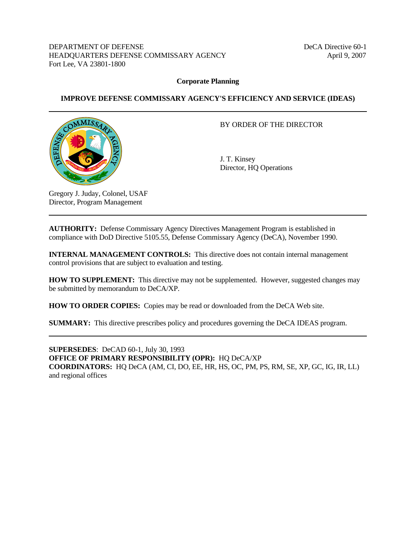DEPARTMENT OF DEFENSE DECA Directive 60-1 HEADQUARTERS DEFENSE COMMISSARY AGENCY April 9, 2007 Fort Lee, VA 23801-1800

#### **Corporate Planning**

#### **IMPROVE DEFENSE COMMISSARY AGENCY'S EFFICIENCY AND SERVICE (IDEAS)**



#### BY ORDER OF THE DIRECTOR

 J. T. Kinsey Director, HQ Operations

Gregory J. Juday, Colonel, USAF Director, Program Management

**AUTHORITY:** Defense Commissary Agency Directives Management Program is established in compliance with DoD Directive 5105.55, Defense Commissary Agency (DeCA), November 1990.

**INTERNAL MANAGEMENT CONTROLS:** This directive does not contain internal management control provisions that are subject to evaluation and testing.

**HOW TO SUPPLEMENT:** This directive may not be supplemented. However, suggested changes may be submitted by memorandum to DeCA/XP.

**HOW TO ORDER COPIES:** Copies may be read or downloaded from the DeCA Web site.

**SUMMARY:** This directive prescribes policy and procedures governing the DeCA IDEAS program.

**SUPERSEDES**: DeCAD 60-1, July 30, 1993 **OFFICE OF PRIMARY RESPONSIBILITY (OPR):** HQ DeCA/XP **COORDINATORS:** HQ DeCA (AM, CI, DO, EE, HR, HS, OC, PM, PS, RM, SE, XP, GC, IG, IR, LL) and regional offices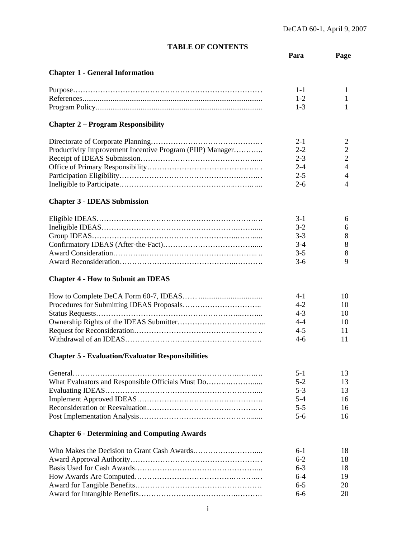# **TABLE OF CONTENTS**

| TABLE OF CONTENTS                                         |         |                |
|-----------------------------------------------------------|---------|----------------|
|                                                           | Para    | Page           |
|                                                           |         |                |
| <b>Chapter 1 - General Information</b>                    |         |                |
|                                                           | $1 - 1$ | 1              |
|                                                           | $1 - 2$ | 1              |
|                                                           | $1 - 3$ | 1              |
|                                                           |         |                |
| <b>Chapter 2 – Program Responsibility</b>                 |         |                |
|                                                           | $2 - 1$ | 2              |
| Productivity Improvement Incentive Program (PIIP) Manager | $2 - 2$ | $\overline{2}$ |
|                                                           | $2 - 3$ | $\overline{2}$ |
|                                                           | $2 - 4$ | $\overline{4}$ |
|                                                           | $2 - 5$ | $\overline{4}$ |
|                                                           | $2 - 6$ | $\overline{4}$ |
|                                                           |         |                |
| <b>Chapter 3 - IDEAS Submission</b>                       |         |                |
|                                                           | $3-1$   | 6              |
|                                                           | $3 - 2$ | 6              |
|                                                           | $3 - 3$ | 8              |
|                                                           | $3-4$   | 8              |
|                                                           | $3 - 5$ | 8              |
|                                                           | $3-6$   | 9              |
|                                                           |         |                |
| <b>Chapter 4 - How to Submit an IDEAS</b>                 |         |                |
|                                                           | $4 - 1$ | 10             |
|                                                           | $4 - 2$ | 10             |
|                                                           | $4 - 3$ | 10             |
|                                                           | $4 - 4$ | 10             |
|                                                           | $4 - 5$ | 11             |
|                                                           | $4-6$   | 11             |
|                                                           |         |                |
| <b>Chapter 5 - Evaluation/Evaluator Responsibilities</b>  |         |                |
|                                                           | $5-1$   | 13             |
| What Evaluators and Responsible Officials Must Do         | $5 - 2$ | 13             |
|                                                           | $5 - 3$ | 13             |
|                                                           | $5 - 4$ | 16             |
|                                                           | $5 - 5$ | 16             |
|                                                           | $5 - 6$ | 16             |
| <b>Chapter 6 - Determining and Computing Awards</b>       |         |                |
|                                                           | $6-1$   | 18             |
|                                                           | $6 - 2$ | 18             |
|                                                           | $6 - 3$ | 18             |
|                                                           | $6 - 4$ | 19             |
|                                                           |         |                |
|                                                           | $6 - 5$ | 20             |
|                                                           | $6-6$   | 20             |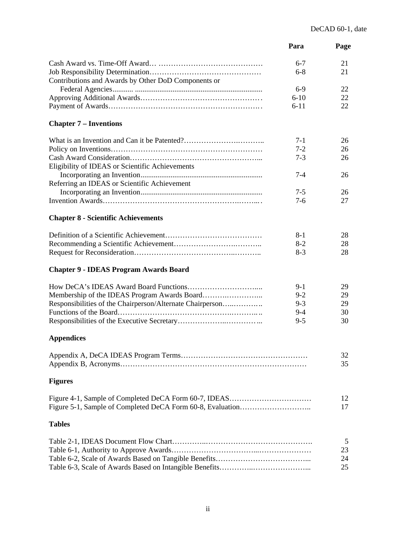|                                                           | Para     | Page     |
|-----------------------------------------------------------|----------|----------|
|                                                           | $6 - 7$  | 21       |
| Contributions and Awards by Other DoD Components or       | $6 - 8$  | 21       |
|                                                           | $6-9$    | 22       |
|                                                           | $6-10$   | 22       |
|                                                           | $6 - 11$ | 22       |
| <b>Chapter 7 – Inventions</b>                             |          |          |
|                                                           | $7 - 1$  | 26       |
|                                                           | $7 - 2$  | 26       |
|                                                           | $7 - 3$  | 26       |
| Eligibility of IDEAS or Scientific Achievements           |          |          |
|                                                           | $7 - 4$  | 26       |
| Referring an IDEAS or Scientific Achievement              |          |          |
|                                                           | $7 - 5$  | 26       |
|                                                           | $7-6$    | 27       |
|                                                           |          |          |
| <b>Chapter 8 - Scientific Achievements</b>                |          |          |
|                                                           | $8-1$    | 28       |
|                                                           | $8-2$    | 28       |
|                                                           | $8-3$    | 28       |
| <b>Chapter 9 - IDEAS Program Awards Board</b>             |          |          |
|                                                           | $9-1$    | 29       |
|                                                           | $9 - 2$  | 29       |
| Responsibilities of the Chairperson/Alternate Chairperson | $9 - 3$  | 29       |
|                                                           | $9 - 4$  | 30       |
|                                                           | $9 - 5$  | 30       |
| <b>Appendices</b>                                         |          |          |
|                                                           |          | 32       |
|                                                           |          | 35       |
| <b>Figures</b>                                            |          |          |
|                                                           |          | 12<br>17 |
| <b>Tables</b>                                             |          |          |
|                                                           |          |          |
|                                                           |          | 5        |
|                                                           |          | 23       |
|                                                           |          | 24<br>25 |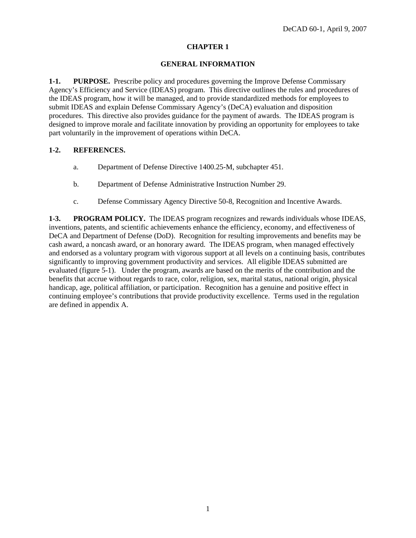#### **GENERAL INFORMATION**

**1-1. PURPOSE.** Prescribe policy and procedures governing the Improve Defense Commissary Agency's Efficiency and Service (IDEAS) program. This directive outlines the rules and procedures of the IDEAS program, how it will be managed, and to provide standardized methods for employees to submit IDEAS and explain Defense Commissary Agency's (DeCA) evaluation and disposition procedures. This directive also provides guidance for the payment of awards. The IDEAS program is designed to improve morale and facilitate innovation by providing an opportunity for employees to take part voluntarily in the improvement of operations within DeCA.

#### **1-2. REFERENCES.**

- a. Department of Defense Directive 1400.25-M, subchapter 451.
- b. Department of Defense Administrative Instruction Number 29.
- c. Defense Commissary Agency Directive 50-8, Recognition and Incentive Awards.

**1-3. PROGRAM POLICY.** The IDEAS program recognizes and rewards individuals whose IDEAS, inventions, patents, and scientific achievements enhance the efficiency, economy, and effectiveness of DeCA and Department of Defense (DoD). Recognition for resulting improvements and benefits may be cash award, a noncash award, or an honorary award. The IDEAS program, when managed effectively and endorsed as a voluntary program with vigorous support at all levels on a continuing basis, contributes significantly to improving government productivity and services. All eligible IDEAS submitted are evaluated (figure 5-1). Under the program, awards are based on the merits of the contribution and the benefits that accrue without regards to race, color, religion, sex, marital status, national origin, physical handicap, age, political affiliation, or participation. Recognition has a genuine and positive effect in continuing employee's contributions that provide productivity excellence. Terms used in the regulation are defined in appendix A.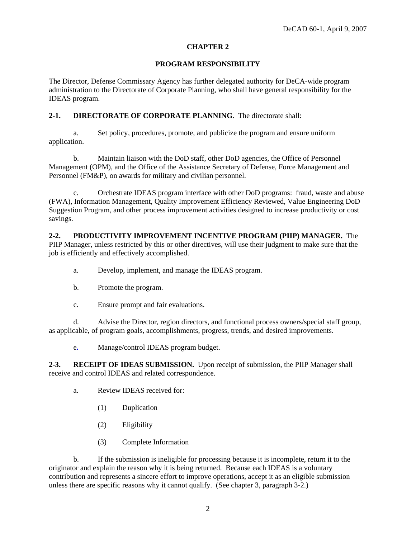#### **PROGRAM RESPONSIBILITY**

The Director, Defense Commissary Agency has further delegated authority for DeCA-wide program administration to the Directorate of Corporate Planning, who shall have general responsibility for the IDEAS program.

### **2-1. DIRECTORATE OF CORPORATE PLANNING**. The directorate shall:

 a. Set policy, procedures, promote, and publicize the program and ensure uniform application.

 b. Maintain liaison with the DoD staff, other DoD agencies, the Office of Personnel Management (OPM), and the Office of the Assistance Secretary of Defense, Force Management and Personnel (FM&P), on awards for military and civilian personnel.

 c. Orchestrate IDEAS program interface with other DoD programs: fraud, waste and abuse (FWA), Information Management, Quality Improvement Efficiency Reviewed, Value Engineering DoD Suggestion Program, and other process improvement activities designed to increase productivity or cost savings.

### **2-2. PRODUCTIVITY IMPROVEMENT INCENTIVE PROGRAM (PIIP) MANAGER.** The

PIIP Manager, unless restricted by this or other directives, will use their judgment to make sure that the job is efficiently and effectively accomplished.

- a. Develop, implement, and manage the IDEAS program.
- b. Promote the program.
- c. Ensure prompt and fair evaluations.

 d. Advise the Director, region directors, and functional process owners/special staff group, as applicable, of program goals, accomplishments, progress, trends, and desired improvements.

e**.** Manage/control IDEAS program budget.

2-3. RECEIPT OF IDEAS SUBMISSION. Upon receipt of submission, the PIIP Manager shall receive and control IDEAS and related correspondence.

- a. Review IDEAS received for:
	- (1) Duplication
	- (2) Eligibility
	- (3) Complete Information

 b. If the submission is ineligible for processing because it is incomplete, return it to the originator and explain the reason why it is being returned. Because each IDEAS is a voluntary contribution and represents a sincere effort to improve operations, accept it as an eligible submission unless there are specific reasons why it cannot qualify. (See chapter 3, paragraph 3-2.)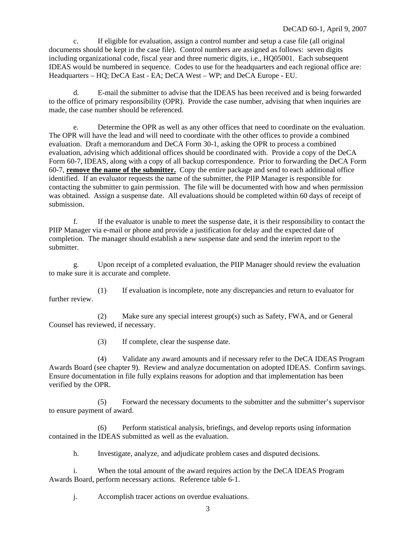c. If eligible for evaluation, assign a control number and setup a case file (all original documents should be kept in the case file). Control numbers are assigned as follows: seven digits including organizational code, fiscal year and three numeric digits, i.e., HQ05001. Each subsequent IDEAS would be numbered in sequence. Codes to use for the headquarters and each regional office are: Headquarters – HQ; DeCA East - EA; DeCA West – WP; and DeCA Europe - EU.

 d. E-mail the submitter to advise that the IDEAS has been received and is being forwarded to the office of primary responsibility (OPR). Provide the case number, advising that when inquiries are made, the case number should be referenced.

 e. Determine the OPR as well as any other offices that need to coordinate on the evaluation. The OPR will have the lead and will need to coordinate with the other offices to provide a combined evaluation. Draft a memorandum and DeCA Form 30-1, asking the OPR to process a combined evaluation, advising which additional offices should be coordinated with. Provide a copy of the DeCA Form 60-7, IDEAS, along with a copy of all backup correspondence. Prior to forwarding the DeCA Form 60-7, **remove the name of the submitter.** Copy the entire package and send to each additional office identified. If an evaluator requests the name of the submitter, the PIIP Manager is responsible for contacting the submitter to gain permission. The file will be documented with how and when permission was obtained. Assign a suspense date. All evaluations should be completed within 60 days of receipt of submission.

 f. If the evaluator is unable to meet the suspense date, it is their responsibility to contact the PIIP Manager via e-mail or phone and provide a justification for delay and the expected date of completion. The manager should establish a new suspense date and send the interim report to the submitter.

 g. Upon receipt of a completed evaluation, the PIIP Manager should review the evaluation to make sure it is accurate and complete.

 (1) If evaluation is incomplete, note any discrepancies and return to evaluator for further review

 (2) Make sure any special interest group(s) such as Safety, FWA, and or General Counsel has reviewed, if necessary.

(3) If complete, clear the suspense date.

 (4) Validate any award amounts and if necessary refer to the DeCA IDEAS Program Awards Board (see chapter 9). Review and analyze documentation on adopted IDEAS. Confirm savings. Ensure documentation in file fully explains reasons for adoption and that implementation has been verified by the OPR.

 (5) Forward the necessary documents to the submitter and the submitter's supervisor to ensure payment of award.

 (6) Perform statistical analysis, briefings, and develop reports using information contained in the IDEAS submitted as well as the evaluation.

h. Investigate, analyze, and adjudicate problem cases and disputed decisions.

 i. When the total amount of the award requires action by the DeCA IDEAS Program Awards Board, perform necessary actions. Reference table 6-1.

j. Accomplish tracer actions on overdue evaluations.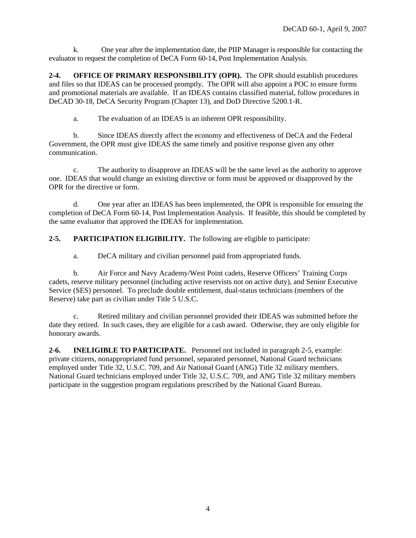k. One year after the implementation date, the PIIP Manager is responsible for contacting the evaluator to request the completion of DeCA Form 60-14, Post Implementation Analysis.

**2-4. OFFICE OF PRIMARY RESPONSIBILITY (OPR).** The OPR should establish procedures and files so that IDEAS can be processed promptly. The OPR will also appoint a POC to ensure forms and promotional materials are available. If an IDEAS contains classified material, follow procedures in DeCAD 30-18, DeCA Security Program (Chapter 13), and DoD Directive 5200.1-R.

a. The evaluation of an IDEAS is an inherent OPR responsibility.

 b. Since IDEAS directly affect the economy and effectiveness of DeCA and the Federal Government, the OPR must give IDEAS the same timely and positive response given any other communication.

 c. The authority to disapprove an IDEAS will be the same level as the authority to approve one. IDEAS that would change an existing directive or form must be approved or disapproved by the OPR for the directive or form.

 d. One year after an IDEAS has been implemented, the OPR is responsible for ensuring the completion of DeCA Form 60-14, Post Implementation Analysis. If feasible, this should be completed by the same evaluator that approved the IDEAS for implementation.

**2-5. PARTICIPATION ELIGIBILITY.** The following are eligible to participate:

a. DeCA military and civilian personnel paid from appropriated funds.

 b. Air Force and Navy Academy/West Point cadets, Reserve Officers' Training Corps cadets, reserve military personnel (including active reservists not on active duty), and Senior Executive Service (SES) personnel. To preclude double entitlement, dual-status technicians (members of the Reserve) take part as civilian under Title 5 U.S.C.

 c. Retired military and civilian personnel provided their IDEAS was submitted before the date they retired. In such cases, they are eligible for a cash award. Otherwise, they are only eligible for honorary awards.

**2-6. INELIGIBLE TO PARTICIPATE.** Personnel not included in paragraph 2-5, example: private citizens, nonappropriated fund personnel, separated personnel, National Guard technicians employed under Title 32, U.S.C. 709, and Air National Guard (ANG) Title 32 military members. National Guard technicians employed under Title 32, U.S.C. 709, and ANG Title 32 military members participate in the suggestion program regulations prescribed by the National Guard Bureau.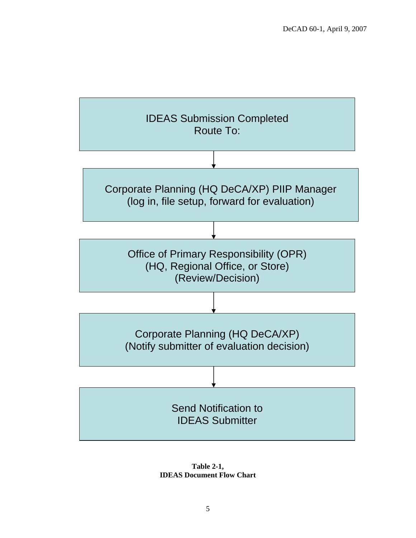

**Table 2-1, IDEAS Document Flow Chart**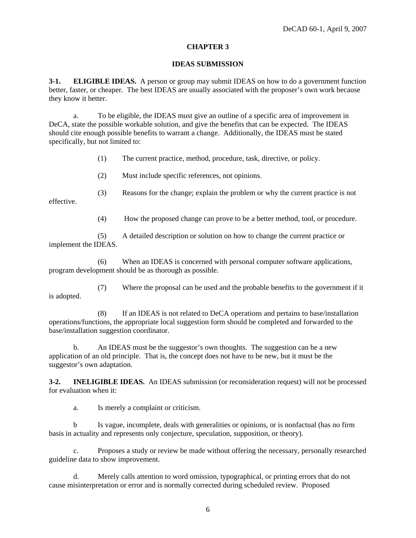#### **IDEAS SUBMISSION**

**3-1. ELIGIBLE IDEAS.** A person or group may submit IDEAS on how to do a government function better, faster, or cheaper. The best IDEAS are usually associated with the proposer's own work because they know it better.

 a. To be eligible, the IDEAS must give an outline of a specific area of improvement in DeCA, state the possible workable solution, and give the benefits that can be expected. The IDEAS should cite enough possible benefits to warrant a change. Additionally, the IDEAS must be stated specifically, but not limited to:

(1) The current practice, method, procedure, task, directive, or policy.

(2) Must include specific references, not opinions.

 (3) Reasons for the change; explain the problem or why the current practice is not effective.

(4) How the proposed change can prove to be a better method, tool, or procedure.

 (5) A detailed description or solution on how to change the current practice or implement the IDEAS.

 (6) When an IDEAS is concerned with personal computer software applications, program development should be as thorough as possible.

 (7) Where the proposal can be used and the probable benefits to the government if it is adopted.

 (8) If an IDEAS is not related to DeCA operations and pertains to base/installation operations/functions, the appropriate local suggestion form should be completed and forwarded to the base/installation suggestion coordinator.

 b. An IDEAS must be the suggestor's own thoughts. The suggestion can be a new application of an old principle. That is, the concept does not have to be new, but it must be the suggestor's own adaptation.

**3-2. INELIGIBLE IDEAS.** An IDEAS submission (or reconsideration request) will not be processed for evaluation when it:

a. Is merely a complaint or criticism.

b Is vague, incomplete, deals with generalities or opinions, or is nonfactual (has no firm basis in actuality and represents only conjecture, speculation, supposition, or theory).

 c. Proposes a study or review be made without offering the necessary, personally researched guideline data to show improvement.

 d. Merely calls attention to word omission, typographical, or printing errors that do not cause misinterpretation or error and is normally corrected during scheduled review. Proposed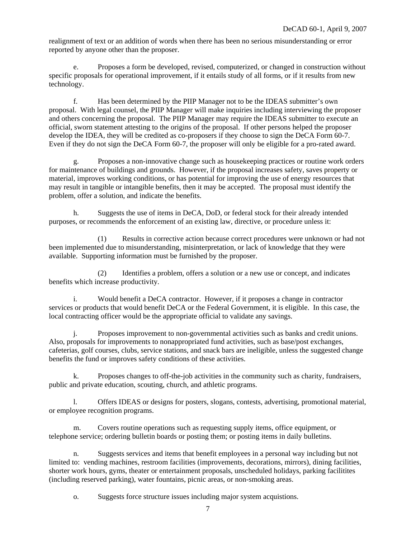realignment of text or an addition of words when there has been no serious misunderstanding or error reported by anyone other than the proposer.

 e. Proposes a form be developed, revised, computerized, or changed in construction without specific proposals for operational improvement, if it entails study of all forms, or if it results from new technology.

 f. Has been determined by the PIIP Manager not to be the IDEAS submitter's own proposal. With legal counsel, the PIIP Manager will make inquiries including interviewing the proposer and others concerning the proposal. The PIIP Manager may require the IDEAS submitter to execute an official, sworn statement attesting to the origins of the proposal. If other persons helped the proposer develop the IDEA, they will be credited as co-proposers if they choose to sign the DeCA Form 60-7. Even if they do not sign the DeCA Form 60-7, the proposer will only be eligible for a pro-rated award.

 g. Proposes a non-innovative change such as housekeeping practices or routine work orders for maintenance of buildings and grounds. However, if the proposal increases safety, saves property or material, improves working conditions, or has potential for improving the use of energy resources that may result in tangible or intangible benefits, then it may be accepted. The proposal must identify the problem, offer a solution, and indicate the benefits.

 h. Suggests the use of items in DeCA, DoD, or federal stock for their already intended purposes, or recommends the enforcement of an existing law, directive, or procedure unless it:

 (1) Results in corrective action because correct procedures were unknown or had not been implemented due to misunderstanding, misinterpretation, or lack of knowledge that they were available. Supporting information must be furnished by the proposer.

 (2) Identifies a problem, offers a solution or a new use or concept, and indicates benefits which increase productivity.

 i. Would benefit a DeCA contractor. However, if it proposes a change in contractor services or products that would benefit DeCA or the Federal Government, it is eligible. In this case, the local contracting officer would be the appropriate official to validate any savings.

 j. Proposes improvement to non-governmental activities such as banks and credit unions. Also, proposals for improvements to nonappropriated fund activities, such as base/post exchanges, cafeterias, golf courses, clubs, service stations, and snack bars are ineligible, unless the suggested change benefits the fund or improves safety conditions of these activities.

 k. Proposes changes to off-the-job activities in the community such as charity, fundraisers, public and private education, scouting, church, and athletic programs.

 l. Offers IDEAS or designs for posters, slogans, contests, advertising, promotional material, or employee recognition programs.

 m. Covers routine operations such as requesting supply items, office equipment, or telephone service; ordering bulletin boards or posting them; or posting items in daily bulletins.

 n. Suggests services and items that benefit employees in a personal way including but not limited to: vending machines, restroom facilities (improvements, decorations, mirrors), dining facilities, shorter work hours, gyms, theater or entertainment proposals, unscheduled holidays, parking facilitites (including reserved parking), water fountains, picnic areas, or non-smoking areas.

o. Suggests force structure issues including major system acquistions.

7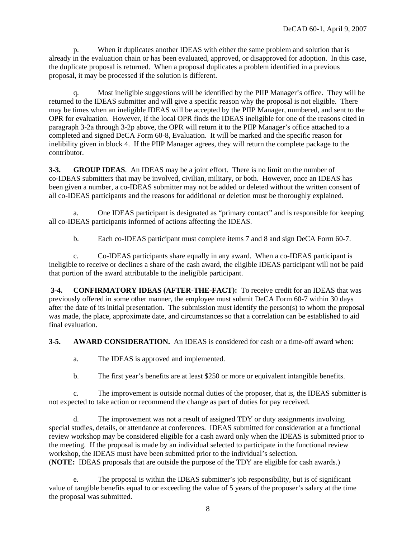p. When it duplicates another IDEAS with either the same problem and solution that is already in the evaluation chain or has been evaluated, approved, or disapproved for adoption. In this case, the duplicate proposal is returned. When a proposal duplicates a problem identified in a previous proposal, it may be processed if the solution is different.

 q. Most ineligible suggestions will be identified by the PIIP Manager's office. They will be returned to the IDEAS submitter and will give a specific reason why the proposal is not eligible. There may be times when an ineligible IDEAS will be accepted by the PIIP Manager, numbered, and sent to the OPR for evaluation. However, if the local OPR finds the IDEAS ineligible for one of the reasons cited in paragraph 3-2a through 3-2p above, the OPR will return it to the PIIP Manager's office attached to a completed and signed DeCA Form 60-8, Evaluation. It will be marked and the specific reason for inelibility given in block 4. If the PIIP Manager agrees, they will return the complete package to the contributor.

**3-3. GROUP IDEAS**. An IDEAS may be a joint effort. There is no limit on the number of co-IDEAS submitters that may be involved, civilian, military, or both. However, once an IDEAS has been given a number, a co-IDEAS submitter may not be added or deleted without the written consent of all co-IDEAS participants and the reasons for additional or deletion must be thoroughly explained.

 a. One IDEAS participant is designated as "primary contact" and is responsible for keeping all co-IDEAS participants informed of actions affecting the IDEAS.

b. Each co-IDEAS participant must complete items 7 and 8 and sign DeCA Form 60-7.

 c. Co-IDEAS participants share equally in any award. When a co-IDEAS participant is ineligible to receive or declines a share of the cash award, the eligible IDEAS participant will not be paid that portion of the award attributable to the ineligible participant.

**3-4. CONFIRMATORY IDEAS (AFTER-THE-FACT):** To receive credit for an IDEAS that was previously offered in some other manner, the employee must submit DeCA Form 60-7 within 30 days after the date of its initial presentation. The submission must identify the person(s) to whom the proposal was made, the place, approximate date, and circumstances so that a correlation can be established to aid final evaluation.

**3-5. AWARD CONSIDERATION.** An IDEAS is considered for cash or a time-off award when:

a. The IDEAS is approved and implemented.

b. The first year's benefits are at least \$250 or more or equivalent intangible benefits.

 c. The improvement is outside normal duties of the proposer, that is, the IDEAS submitter is not expected to take action or recommend the change as part of duties for pay received.

 d. The improvement was not a result of assigned TDY or duty assignments involving special studies, details, or attendance at conferences. IDEAS submitted for consideration at a functional review workshop may be considered eligible for a cash award only when the IDEAS is submitted prior to the meeting. If the proposal is made by an individual selected to participate in the functional review workshop, the IDEAS must have been submitted prior to the individual's selection. (**NOTE:** IDEAS proposals that are outside the purpose of the TDY are eligible for cash awards.)

 e. The proposal is within the IDEAS submitter's job responsibility, but is of significant value of tangible benefits equal to or exceeding the value of 5 years of the proposer's salary at the time the proposal was submitted.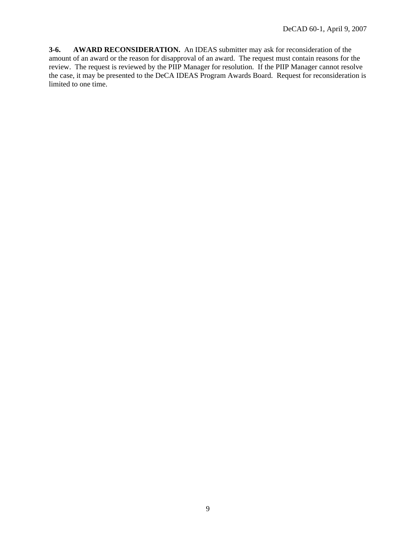**3-6. AWARD RECONSIDERATION.** An IDEAS submitter may ask for reconsideration of the amount of an award or the reason for disapproval of an award. The request must contain reasons for the review. The request is reviewed by the PIIP Manager for resolution. If the PIIP Manager cannot resolve the case, it may be presented to the DeCA IDEAS Program Awards Board. Request for reconsideration is limited to one time.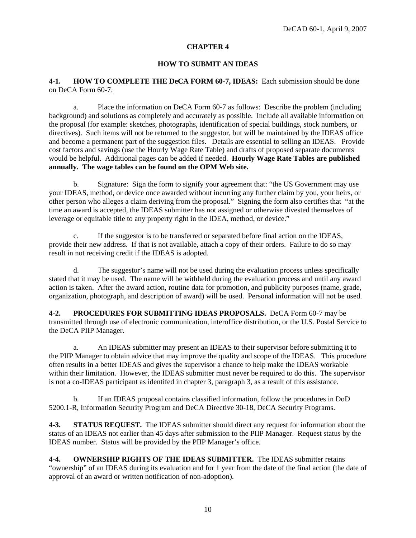#### **HOW TO SUBMIT AN IDEAS**

**4-1. HOW TO COMPLETE THE DeCA FORM 60-7, IDEAS:** Each submission should be done on DeCA Form 60-7.

 a. Place the information on DeCA Form 60-7 as follows: Describe the problem (including background) and solutions as completely and accurately as possible. Include all available information on the proposal (for example: sketches, photographs, identification of special buildings, stock numbers, or directives). Such items will not be returned to the suggestor, but will be maintained by the IDEAS office and become a permanent part of the suggestion files. Details are essential to selling an IDEAS. Provide cost factors and savings (use the Hourly Wage Rate Table) and drafts of proposed separate documents would be helpful. Additional pages can be added if needed. **Hourly Wage Rate Tables are published annually. The wage tables can be found on the OPM Web site.** 

b. Signature: Sign the form to signify your agreement that: "the US Government may use your IDEAS, method, or device once awarded without incurring any further claim by you, your heirs, or other person who alleges a claim deriving from the proposal." Signing the form also certifies that "at the time an award is accepted, the IDEAS submitter has not assigned or otherwise divested themselves of leverage or equitable title to any property right in the IDEA, method, or device."

 c. If the suggestor is to be transferred or separated before final action on the IDEAS, provide their new address. If that is not available, attach a copy of their orders. Failure to do so may result in not receiving credit if the IDEAS is adopted.

 d. The suggestor's name will not be used during the evaluation process unless specifically stated that it may be used. The name will be withheld during the evaluation process and until any award action is taken. After the award action, routine data for promotion, and publicity purposes (name, grade, organization, photograph, and description of award) will be used. Personal information will not be used.

**4-2. PROCEDURES FOR SUBMITTING IDEAS PROPOSALS.** DeCA Form 60-7 may be transmitted through use of electronic communication, interoffice distribution, or the U.S. Postal Service to the DeCA PIIP Manager.

a. An IDEAS submitter may present an IDEAS to their supervisor before submitting it to the PIIP Manager to obtain advice that may improve the quality and scope of the IDEAS. This procedure often results in a better IDEAS and gives the supervisor a chance to help make the IDEAS workable within their limitation. However, the IDEAS submitter must never be required to do this. The supervisor is not a co-IDEAS participant as identifed in chapter 3, paragraph 3, as a result of this assistance.

b. If an IDEAS proposal contains classified information, follow the procedures in DoD 5200.1-R, Information Security Program and DeCA Directive 30-18, DeCA Security Programs.

**4-3. STATUS REQUEST.** The IDEAS submitter should direct any request for information about the status of an IDEAS not earlier than 45 days after submission to the PIIP Manager. Request status by the IDEAS number. Status will be provided by the PIIP Manager's office.

**4-4. OWNERSHIP RIGHTS OF THE IDEAS SUBMITTER.** The IDEAS submitter retains "ownership" of an IDEAS during its evaluation and for 1 year from the date of the final action (the date of approval of an award or written notification of non-adoption).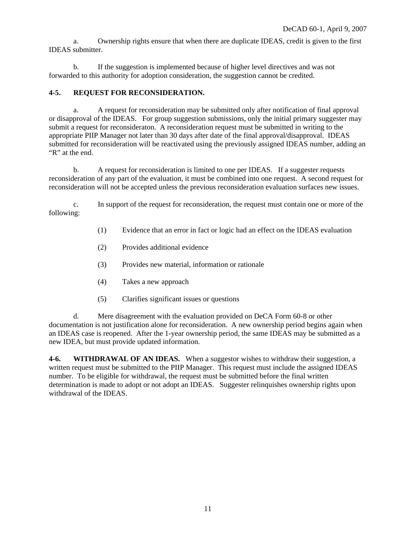a. Ownership rights ensure that when there are duplicate IDEAS, credit is given to the first IDEAS submitter.

 b. If the suggestion is implemented because of higher level directives and was not forwarded to this authority for adoption consideration, the suggestion cannot be credited.

#### **4-5. REQUEST FOR RECONSIDERATION.**

 a. A request for reconsideration may be submitted only after notification of final approval or disapproval of the IDEAS. For group suggestion submissions, only the initial primary suggester may submit a request for reconsideraton. A reconsideration request must be submitted in writing to the appropriate PIIP Manager not later than 30 days after date of the final approval/disapproval. IDEAS submitted for reconsideration will be reactivated using the previously assigned IDEAS number, adding an "R" at the end.

 b. A request for reconsideration is limited to one per IDEAS. If a suggester requests reconsideration of any part of the evaluation, it must be combined into one request. A second request for reconsideration will not be accepted unless the previous reconsideration evaluation surfaces new issues.

c. In support of the request for reconsideration, the request must contain one or more of the following:

- (1) Evidence that an error in fact or logic had an effect on the IDEAS evaluation
- (2) Provides additional evidence
- (3) Provides new material, information or rationale
- (4) Takes a new approach
- (5) Clarifies significant issues or questions

 d. Mere disagreement with the evaluation provided on DeCA Form 60-8 or other documentation is not justification alone for reconsideration. A new ownership period begins again when an IDEAS case is reopened. After the 1-year ownership period, the same IDEAS may be submitted as a new IDEA, but must provide updated information.

**4-6. WITHDRAWAL OF AN IDEAS.** When a suggestor wishes to withdraw their suggestion, a written request must be submitted to the PIIP Manager. This request must include the assigned IDEAS number. To be eligible for withdrawal, the request must be submitted before the final written determination is made to adopt or not adopt an IDEAS. Suggester relinquishes ownership rights upon withdrawal of the IDEAS.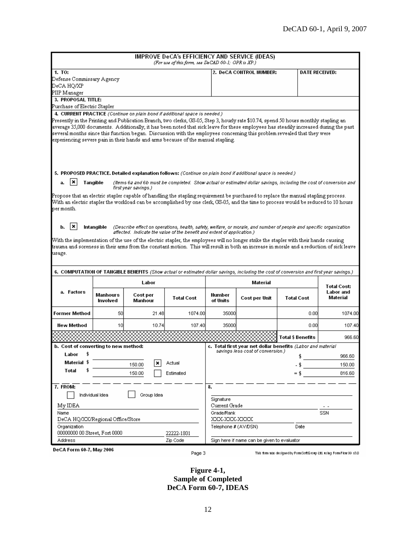|                                               |                      |                                                                                                                                          | IMPROVE DeCA's EFFICIENCY AND SERVICE (IDEAS)<br>(For use of this form, see DeCAD 60-1; OPR is XP.) |                            |                                             |                                                                                                                                                                                                                                                                                                                                                                                                            |                                             |
|-----------------------------------------------|----------------------|------------------------------------------------------------------------------------------------------------------------------------------|-----------------------------------------------------------------------------------------------------|----------------------------|---------------------------------------------|------------------------------------------------------------------------------------------------------------------------------------------------------------------------------------------------------------------------------------------------------------------------------------------------------------------------------------------------------------------------------------------------------------|---------------------------------------------|
| 1. TO:                                        |                      |                                                                                                                                          |                                                                                                     |                            | 2. DeCA CONTROL NUMBER:                     |                                                                                                                                                                                                                                                                                                                                                                                                            | <b>DATE RECEIVED:</b>                       |
| Defense Commissary Agency                     |                      |                                                                                                                                          |                                                                                                     |                            |                                             |                                                                                                                                                                                                                                                                                                                                                                                                            |                                             |
| DeCA HO/XP                                    |                      |                                                                                                                                          |                                                                                                     |                            |                                             |                                                                                                                                                                                                                                                                                                                                                                                                            |                                             |
| PIIP Manager                                  |                      |                                                                                                                                          |                                                                                                     |                            |                                             |                                                                                                                                                                                                                                                                                                                                                                                                            |                                             |
| 3. PROPOSAL TITLE:                            |                      |                                                                                                                                          |                                                                                                     |                            |                                             |                                                                                                                                                                                                                                                                                                                                                                                                            |                                             |
| Purchase of Electric Stapler                  |                      | 4. CURRENT PRACTICE (Continue on plain bond if additional space is needed.)                                                              |                                                                                                     |                            |                                             |                                                                                                                                                                                                                                                                                                                                                                                                            |                                             |
|                                               |                      | experiencing severe pain in their hands and arms because of the manual stapling.                                                         |                                                                                                     |                            |                                             | Presently in the Printing and Publication Branch, two clerks, GS-05, Step 3, hourly rate \$10.74, spend 50 hours monthly stapling an<br>average 35,000 documents. Additionally, it has been noted that sick leave for these employees has steadily increased during the past<br>several months since this function began. Discussion with the employees concerning this problem revealed that they were    |                                             |
| ×<br>а.                                       | Tangible             | 5. PROPOSED PRACTICE. Detailed explanation follows: (Continue on plain bond if additional space is needed.)                              |                                                                                                     |                            |                                             | (Items 6a and 6b must be completed. Show actual or estimated dollar savings, including the cost of conversion and                                                                                                                                                                                                                                                                                          |                                             |
|                                               |                      | first year savings.)                                                                                                                     |                                                                                                     |                            |                                             |                                                                                                                                                                                                                                                                                                                                                                                                            |                                             |
| per month.<br>∣×<br>b.                        |                      |                                                                                                                                          |                                                                                                     |                            |                                             | Propose that an electric stapler capable of handling the stapling requirement be purchased to replace the manual stapling process.<br>With an electric stapler the workload can be accomplished by one clerk, GS-05, and the time to process would be reduced to 10 hours<br>Intangible (Describe effect on operations, health, safety, welfare, or morale, and number of people and specific organization |                                             |
|                                               |                      | affected. Indicate the value of the benefit and extent of application.)                                                                  |                                                                                                     |                            |                                             |                                                                                                                                                                                                                                                                                                                                                                                                            |                                             |
| usage.                                        |                      | trauma and soreness in their arms from the constant motion. This will result in both an increase in morale and a reduction of sick leave |                                                                                                     |                            |                                             | With the implementation of the use of the electric stapler, the employees will no longer strike the stapler with their hands causing                                                                                                                                                                                                                                                                       |                                             |
|                                               |                      |                                                                                                                                          |                                                                                                     |                            |                                             |                                                                                                                                                                                                                                                                                                                                                                                                            |                                             |
|                                               |                      |                                                                                                                                          |                                                                                                     |                            |                                             | 6. COMPUTATION OF TANGIBLE BENEFITS (Show actual or estimated dollar savings, including the cost of conversion and first year savings.)                                                                                                                                                                                                                                                                    |                                             |
|                                               |                      | Labor                                                                                                                                    |                                                                                                     |                            | Material                                    |                                                                                                                                                                                                                                                                                                                                                                                                            |                                             |
| a. Factors                                    | Manhours<br>Involved | Cost per<br>Manhour                                                                                                                      | <b>Total Cost</b>                                                                                   | Number<br>of Units         | Cost per Unit                               | <b>Total Cost</b>                                                                                                                                                                                                                                                                                                                                                                                          | <b>Total Cost:</b><br>Labor and<br>Material |
| Former Method                                 | 50                   | 21.48                                                                                                                                    | 1074.00                                                                                             | 35000                      |                                             | 0.00                                                                                                                                                                                                                                                                                                                                                                                                       | 1074.00                                     |
| New Method                                    | 10                   | 10.74                                                                                                                                    | 107.40                                                                                              | 35000                      |                                             | 0.00                                                                                                                                                                                                                                                                                                                                                                                                       | 107.40                                      |
|                                               |                      |                                                                                                                                          |                                                                                                     |                            |                                             | Total \$ Benefits                                                                                                                                                                                                                                                                                                                                                                                          | 966.60                                      |
| b. Cost of converting to new method:          |                      |                                                                                                                                          |                                                                                                     |                            |                                             | c. Total first year net dollar benefits (Labor and material                                                                                                                                                                                                                                                                                                                                                |                                             |
|                                               |                      |                                                                                                                                          |                                                                                                     |                            | savings less cost of conversion.)           |                                                                                                                                                                                                                                                                                                                                                                                                            |                                             |
| Labor \$<br>Material \$                       |                      | ×                                                                                                                                        |                                                                                                     |                            |                                             |                                                                                                                                                                                                                                                                                                                                                                                                            | 966.60                                      |
| Total                                         |                      | 150.00                                                                                                                                   | Actual                                                                                              |                            |                                             |                                                                                                                                                                                                                                                                                                                                                                                                            | 150.00                                      |
|                                               |                      | 150.00                                                                                                                                   | Estimated                                                                                           |                            |                                             |                                                                                                                                                                                                                                                                                                                                                                                                            | 816.60                                      |
| 7. FROM:                                      | Individual Idea      | Group Idea                                                                                                                               |                                                                                                     | 8.<br>Signature            |                                             |                                                                                                                                                                                                                                                                                                                                                                                                            |                                             |
| My IDEA                                       |                      |                                                                                                                                          |                                                                                                     | Current Grade              |                                             |                                                                                                                                                                                                                                                                                                                                                                                                            |                                             |
| Name<br>DeCA HQ/XX/Regional Office/Store      |                      |                                                                                                                                          |                                                                                                     | Grade/Rank<br>XXX-XXX-XXXX |                                             |                                                                                                                                                                                                                                                                                                                                                                                                            | SSN                                         |
| Organization<br>00000000 00 Street, Fort 0000 |                      |                                                                                                                                          | 22222-1801                                                                                          | Telephone # (AV/DSN)       |                                             | Date                                                                                                                                                                                                                                                                                                                                                                                                       |                                             |
| Address                                       |                      |                                                                                                                                          | Zip Code                                                                                            |                            | Sign here if name can be given to evaluator |                                                                                                                                                                                                                                                                                                                                                                                                            |                                             |

**Figure 4-1, Sample of Completed DeCA Form 60-7, IDEAS**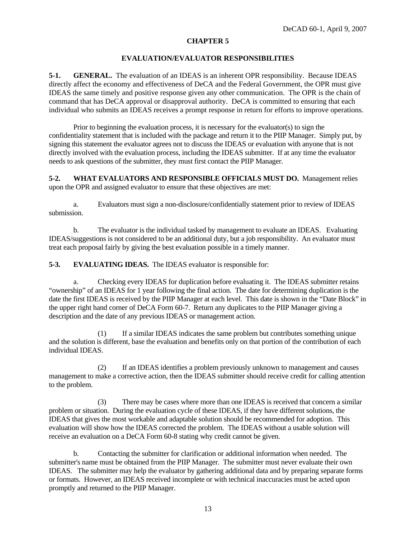#### **EVALUATION/EVALUATOR RESPONSIBILITIES**

**5-1. GENERAL.** The evaluation of an IDEAS is an inherent OPR responsibility. Because IDEAS directly affect the economy and effectiveness of DeCA and the Federal Government, the OPR must give IDEAS the same timely and positive response given any other communication. The OPR is the chain of command that has DeCA approval or disapproval authority. DeCA is committed to ensuring that each individual who submits an IDEAS receives a prompt response in return for efforts to improve operations.

 Prior to beginning the evaluation process, it is necessary for the evaluator(s) to sign the confidentiality statement that is included with the package and return it to the PIIP Manager. Simply put, by signing this statement the evaluator agrees not to discuss the IDEAS or evaluation with anyone that is not directly involved with the evaluation process, including the IDEAS submitter. If at any time the evaluator needs to ask questions of the submitter, they must first contact the PIIP Manager.

**5-2. WHAT EVALUATORS AND RESPONSIBLE OFFICIALS MUST DO.** Management relies upon the OPR and assigned evaluator to ensure that these objectives are met:

 a. Evaluators must sign a non-disclosure/confidentially statement prior to review of IDEAS submission.

 b. The evaluator is the individual tasked by management to evaluate an IDEAS. Evaluating IDEAS/suggestions is not considered to be an additional duty, but a job responsibility. An evaluator must treat each proposal fairly by giving the best evaluation possible in a timely manner.

**5-3. EVALUATING IDEAS.** The IDEAS evaluator is responsible for:

 a. Checking every IDEAS for duplication before evaluating it. The IDEAS submitter retains "ownership" of an IDEAS for 1 year following the final action. The date for determining duplication is the date the first IDEAS is received by the PIIP Manager at each level. This date is shown in the "Date Block" in the upper right hand corner of DeCA Form 60-7. Return any duplicates to the PIIP Manager giving a description and the date of any previous IDEAS or management action.

 (1) If a similar IDEAS indicates the same problem but contributes something unique and the solution is different, base the evaluation and benefits only on that portion of the contribution of each individual IDEAS.

(2) If an IDEAS identifies a problem previously unknown to management and causes management to make a corrective action, then the IDEAS submitter should receive credit for calling attention to the problem.

(3) There may be cases where more than one IDEAS is received that concern a similar problem or situation. During the evaluation cycle of these IDEAS, if they have different solutions, the IDEAS that gives the most workable and adaptable solution should be recommended for adoption. This evaluation will show how the IDEAS corrected the problem. The IDEAS without a usable solution will receive an evaluation on a DeCA Form 60-8 stating why credit cannot be given.

 b. Contacting the submitter for clarification or additional information when needed. The submitter's name must be obtained from the PIIP Manager. The submitter must never evaluate their own IDEAS. The submitter may help the evaluator by gathering additional data and by preparing separate forms or formats. However, an IDEAS received incomplete or with technical inaccuracies must be acted upon promptly and returned to the PIIP Manager.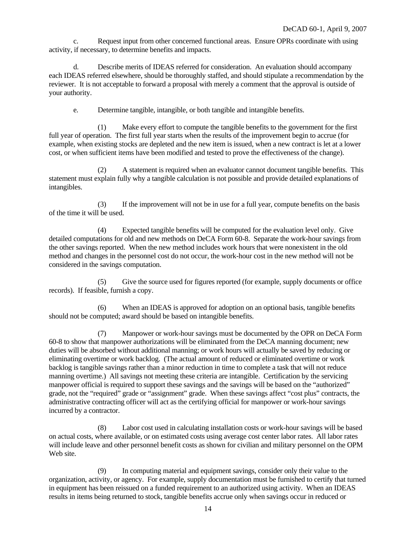c. Request input from other concerned functional areas. Ensure OPRs coordinate with using activity, if necessary, to determine benefits and impacts.

 d. Describe merits of IDEAS referred for consideration. An evaluation should accompany each IDEAS referred elsewhere, should be thoroughly staffed, and should stipulate a recommendation by the reviewer. It is not acceptable to forward a proposal with merely a comment that the approval is outside of your authority.

e. Determine tangible, intangible, or both tangible and intangible benefits.

 (1) Make every effort to compute the tangible benefits to the government for the first full year of operation. The first full year starts when the results of the improvement begin to accrue (for example, when existing stocks are depleted and the new item is issued, when a new contract is let at a lower cost, or when sufficient items have been modified and tested to prove the effectiveness of the change).

 (2) A statement is required when an evaluator cannot document tangible benefits. This statement must explain fully why a tangible calculation is not possible and provide detailed explanations of intangibles.

 (3) If the improvement will not be in use for a full year, compute benefits on the basis of the time it will be used.

 (4) Expected tangible benefits will be computed for the evaluation level only. Give detailed computations for old and new methods on DeCA Form 60-8. Separate the work-hour savings from the other savings reported. When the new method includes work hours that were nonexistent in the old method and changes in the personnel cost do not occur, the work-hour cost in the new method will not be considered in the savings computation.

 (5) Give the source used for figures reported (for example, supply documents or office records). If feasible, furnish a copy.

 (6) When an IDEAS is approved for adoption on an optional basis, tangible benefits should not be computed; award should be based on intangible benefits.

 (7) Manpower or work-hour savings must be documented by the OPR on DeCA Form 60-8 to show that manpower authorizations will be eliminated from the DeCA manning document; new duties will be absorbed without additional manning; or work hours will actually be saved by reducing or eliminating overtime or work backlog. (The actual amount of reduced or eliminated overtime or work backlog is tangible savings rather than a minor reduction in time to complete a task that will not reduce manning overtime.) All savings not meeting these criteria are intangible. Certification by the servicing manpower official is required to support these savings and the savings will be based on the "authorized" grade, not the "required" grade or "assignment" grade. When these savings affect "cost plus" contracts, the administrative contracting officer will act as the certifying official for manpower or work-hour savings incurred by a contractor.

 (8) Labor cost used in calculating installation costs or work-hour savings will be based on actual costs, where available, or on estimated costs using average cost center labor rates. All labor rates will include leave and other personnel benefit costs as shown for civilian and military personnel on the OPM Web site.

 (9) In computing material and equipment savings, consider only their value to the organization, activity, or agency. For example, supply documentation must be furnished to certify that turned in equipment has been reissued on a funded requirement to an authorized using activity. When an IDEAS results in items being returned to stock, tangible benefits accrue only when savings occur in reduced or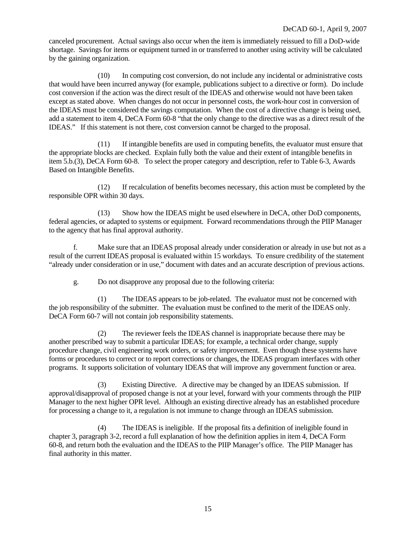canceled procurement. Actual savings also occur when the item is immediately reissued to fill a DoD-wide shortage. Savings for items or equipment turned in or transferred to another using activity will be calculated by the gaining organization.

 (10) In computing cost conversion, do not include any incidental or administrative costs that would have been incurred anyway (for example, publications subject to a directive or form). Do include cost conversion if the action was the direct result of the IDEAS and otherwise would not have been taken except as stated above. When changes do not occur in personnel costs, the work-hour cost in conversion of the IDEAS must be considered the savings computation. When the cost of a directive change is being used, add a statement to item 4, DeCA Form 60-8 "that the only change to the directive was as a direct result of the IDEAS." If this statement is not there, cost conversion cannot be charged to the proposal.

 (11) If intangible benefits are used in computing benefits, the evaluator must ensure that the appropriate blocks are checked. Explain fully both the value and their extent of intangible benefits in item 5.b.(3), DeCA Form 60-8. To select the proper category and description, refer to Table 6-3, Awards Based on Intangible Benefits.

 (12) If recalculation of benefits becomes necessary, this action must be completed by the responsible OPR within 30 days.

 (13) Show how the IDEAS might be used elsewhere in DeCA, other DoD components, federal agencies, or adapted to systems or equipment. Forward recommendations through the PIIP Manager to the agency that has final approval authority.

 f. Make sure that an IDEAS proposal already under consideration or already in use but not as a result of the current IDEAS proposal is evaluated within 15 workdays. To ensure credibility of the statement "already under consideration or in use," document with dates and an accurate description of previous actions.

g. Do not disapprove any proposal due to the following criteria:

 (1) The IDEAS appears to be job-related. The evaluator must not be concerned with the job responsibility of the submitter. The evaluation must be confined to the merit of the IDEAS only. DeCA Form 60-7 will not contain job responsibility statements.

 (2) The reviewer feels the IDEAS channel is inappropriate because there may be another prescribed way to submit a particular IDEAS; for example, a technical order change, supply procedure change, civil engineering work orders, or safety improvement. Even though these systems have forms or procedures to correct or to report corrections or changes, the IDEAS program interfaces with other programs. It supports solicitation of voluntary IDEAS that will improve any government function or area.

 (3) Existing Directive. A directive may be changed by an IDEAS submission. If approval/disapproval of proposed change is not at your level, forward with your comments through the PIIP Manager to the next higher OPR level. Although an existing directive already has an established procedure for processing a change to it, a regulation is not immune to change through an IDEAS submission.

 (4) The IDEAS is ineligible. If the proposal fits a definition of ineligible found in chapter 3, paragraph 3-2, record a full explanation of how the definition applies in item 4, DeCA Form 60-8, and return both the evaluation and the IDEAS to the PIIP Manager's office. The PIIP Manager has final authority in this matter.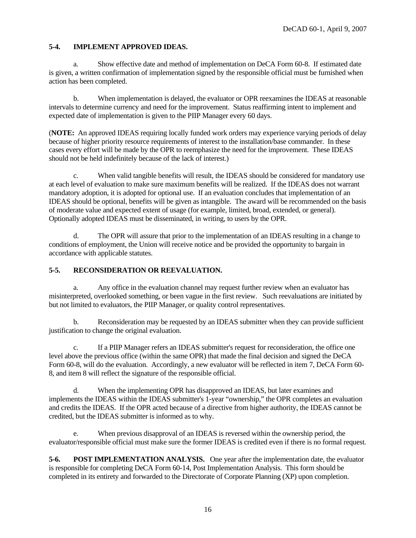#### **5-4. IMPLEMENT APPROVED IDEAS.**

 a. Show effective date and method of implementation on DeCA Form 60-8. If estimated date is given, a written confirmation of implementation signed by the responsible official must be furnished when action has been completed.

 b. When implementation is delayed, the evaluator or OPR reexamines the IDEAS at reasonable intervals to determine currency and need for the improvement. Status reaffirming intent to implement and expected date of implementation is given to the PIIP Manager every 60 days.

(**NOTE:** An approved IDEAS requiring locally funded work orders may experience varying periods of delay because of higher priority resource requirements of interest to the installation/base commander. In these cases every effort will be made by the OPR to reemphasize the need for the improvement. These IDEAS should not be held indefinitely because of the lack of interest.)

 c. When valid tangible benefits will result, the IDEAS should be considered for mandatory use at each level of evaluation to make sure maximum benefits will be realized. If the IDEAS does not warrant mandatory adoption, it is adopted for optional use. If an evaluation concludes that implementation of an IDEAS should be optional, benefits will be given as intangible. The award will be recommended on the basis of moderate value and expected extent of usage (for example, limited, broad, extended, or general). Optionally adopted IDEAS must be disseminated, in writing, to users by the OPR.

 d. The OPR will assure that prior to the implementation of an IDEAS resulting in a change to conditions of employment, the Union will receive notice and be provided the opportunity to bargain in accordance with applicable statutes.

#### **5-5. RECONSIDERATION OR REEVALUATION.**

 a. Any office in the evaluation channel may request further review when an evaluator has misinterpreted, overlooked something, or been vague in the first review. Such reevaluations are initiated by but not limited to evaluators, the PIIP Manager, or quality control representatives.

 b. Reconsideration may be requested by an IDEAS submitter when they can provide sufficient justification to change the original evaluation.

 c. If a PIIP Manager refers an IDEAS submitter's request for reconsideration, the office one level above the previous office (within the same OPR) that made the final decision and signed the DeCA Form 60-8, will do the evaluation. Accordingly, a new evaluator will be reflected in item 7, DeCA Form 60- 8, and item 8 will reflect the signature of the responsible official.

 d. When the implementing OPR has disapproved an IDEAS, but later examines and implements the IDEAS within the IDEAS submitter's 1-year "ownership," the OPR completes an evaluation and credits the IDEAS. If the OPR acted because of a directive from higher authority, the IDEAS cannot be credited, but the IDEAS submitter is informed as to why.

 e. When previous disapproval of an IDEAS is reversed within the ownership period, the evaluator/responsible official must make sure the former IDEAS is credited even if there is no formal request.

**5-6. POST IMPLEMENTATION ANALYSIS.** One year after the implementation date, the evaluator is responsible for completing DeCA Form 60-14, Post Implementation Analysis. This form should be completed in its entirety and forwarded to the Directorate of Corporate Planning (XP) upon completion.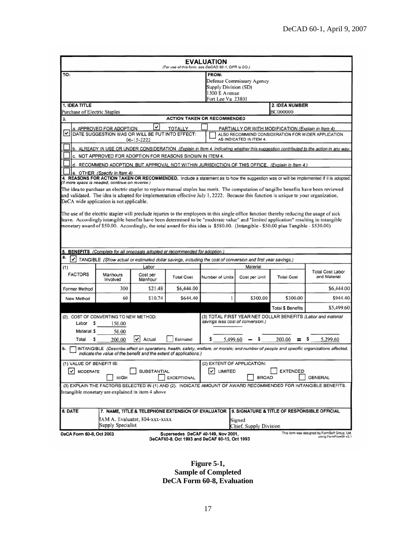| FROM:<br>Defense Commissary Agency<br>Supply Division (SD)<br>1300 E Avenue<br>Fort Lee Va 23801<br>2. IDEA NUMBER<br>Purchase of Electric Staples<br><b>BC000000</b><br><b>ACTION TAKEN OR RECOMMENDED</b><br>3.<br>✓<br>a. APPROVED FOR ADOPTION<br><b>TOTALLY</b><br>PARTIALLY OR WITH MODIFICATION (Explain in Item 4)<br>$\vert\bm{\mathsf{v}}\vert$<br>DATE SUGGESTION WAS OR WILL BE PUT INTO EFFECT:<br>ALSO RECOMMEND CONSIDERATION FOR WIDER APPLICATION<br>AS INDICATED IN ITEM 4.<br>06-15-2222<br>b. ALREADY IN USE OR UNDER CONSIDERATION (Explain in Item 4. indicating whether this suggestion contributed to the action in any way.<br>c. NOT APPROVED FOR ADOPTION FOR REASONS SHOWN IN ITEM 4.<br>d. RECOMMEND ADOPTION, BUT APPROVAL NOT WITHIN JURISDICTION OF THIS OFFICE. (Explain in Item 4.)<br>e. OTHER (Specify in Item 4)<br>4. REASONS FOR ACTION TAKEN OR RECOMMENDED. Include a statement as to how the suggestion was or will be implemented if it is adopted.<br>(If more space is needed, continue on reverse.)<br>The idea to purchase an electric stapler to replace manual staples has merit. The computation of tangilbe benefits have been reviewed<br>and validated. The idea is adopted for implementation effective July 1, 2222. Because this function is unique to your organization,<br>DeCA wide application is not applicable.<br>The use of the electric stapler will preclude injuries to the employees in this single office function thereby reducing the usage of sick<br>leave. Accordingly intangible benefits have been determined to be "moderate value" and "limited application" resulting in intangible<br>monetary award of \$50.00. Accordingly, the total award for this idea is \$580.00. (Intangible - \$50.00 plus Tangible - \$530.00)<br>5. BENEFITS (Complete for all proposals adopted or recommended for adoption.)<br>v<br>TANGIBLE (Show actual or estimated dollar savings, including the cost of conversion and first year savings.)<br>Labor<br>Material<br>(1)<br><b>Total Cost Labor</b><br><b>FACTORS</b><br>Manhours<br>Cost per<br>and Material<br><b>Total Cost</b><br><b>Total Cost</b><br>Number of Units<br>Cost per Unit<br>Involved<br>Manhour<br>300<br>\$21.48<br>\$6,444.00<br>\$6,444.00<br>60<br>\$10.74<br>\$644.40<br>\$300.00<br>\$300.00<br>\$944.40<br>New Method<br>\$5,499.60<br><b>Total \$ Benefits</b><br>(3) TOTAL FIRST YEAR NET DOLLAR BENEFITS (Labor and material<br>(2). COST OF CONVERTING TO NEW METHOD:<br>savings less cost of conversion.)<br>Labor<br>s<br>150.00<br>Material \$<br>50.00<br>5,299.60<br>v<br>Actual<br>Estimated<br>5,499.60<br>200.00<br>Total<br>200.00<br>s<br>INTANGIBLE (Describe effect on operations, health, safety, welfare, or morale; and number of people and specific organizations affected.<br>Indicate the value of the benefit and the extent of applications.)<br>(1) VALUE OF BENEFIT IS:<br>(2) EXTENT OF APPLICATION:<br>$\overline{\smash{\bigtriangledown}}$ LIMITED<br>V MODERATE<br><b>SUBSTANTIAL</b><br><b>EXTENDED</b><br><b>HIGH</b><br><b>GENERAL</b><br><b>EXCEPTIONAL</b><br><b>BROAD</b><br>(3) EXPLAIN THE FACTORS SELECTED IN (1) AND (2). INDICATE AMOUNT OF AWARD RECOMMENDED FOR INTANGIBLE BENEFITS.<br>Intangible monetary are explained in item 4 above<br>7. NAME, TITLE & TELEPHONE EXTENSION OF EVALUATOR   8. SIGNATURE & TITLE OF RESPONSIBLE OFFICIAL<br>IAM A. Evaluator, 804-xxx-xxxx<br>Signed<br>Supply Specialist<br>Chief, Supply Division | <b>EVALUATION</b><br>(For use of this form, see DeCAD 60-1; OPR is DO.) |  |  |  |  |  |  |
|-----------------------------------------------------------------------------------------------------------------------------------------------------------------------------------------------------------------------------------------------------------------------------------------------------------------------------------------------------------------------------------------------------------------------------------------------------------------------------------------------------------------------------------------------------------------------------------------------------------------------------------------------------------------------------------------------------------------------------------------------------------------------------------------------------------------------------------------------------------------------------------------------------------------------------------------------------------------------------------------------------------------------------------------------------------------------------------------------------------------------------------------------------------------------------------------------------------------------------------------------------------------------------------------------------------------------------------------------------------------------------------------------------------------------------------------------------------------------------------------------------------------------------------------------------------------------------------------------------------------------------------------------------------------------------------------------------------------------------------------------------------------------------------------------------------------------------------------------------------------------------------------------------------------------------------------------------------------------------------------------------------------------------------------------------------------------------------------------------------------------------------------------------------------------------------------------------------------------------------------------------------------------------------------------------------------------------------------------------------------------------------------------------------------------------------------------------------------------------------------------------------------------------------------------------------------------------------------------------------------------------------------------------------------------------------------------------------------------------------------------------------------------------------------------------------------------------------------------------------------------------------------------------------------------------------------------------------------------------------------------------------------------------------------------------------------------------------------------------------------------------------------------------------------------------------------------------------------------------------------------------------------------------------------------------------------------------------------------------------------------------------------------------------------------------------------------------------------------------------------------------------------------------------|-------------------------------------------------------------------------|--|--|--|--|--|--|
|                                                                                                                                                                                                                                                                                                                                                                                                                                                                                                                                                                                                                                                                                                                                                                                                                                                                                                                                                                                                                                                                                                                                                                                                                                                                                                                                                                                                                                                                                                                                                                                                                                                                                                                                                                                                                                                                                                                                                                                                                                                                                                                                                                                                                                                                                                                                                                                                                                                                                                                                                                                                                                                                                                                                                                                                                                                                                                                                                                                                                                                                                                                                                                                                                                                                                                                                                                                                                                                                                                                                   | TO:                                                                     |  |  |  |  |  |  |
|                                                                                                                                                                                                                                                                                                                                                                                                                                                                                                                                                                                                                                                                                                                                                                                                                                                                                                                                                                                                                                                                                                                                                                                                                                                                                                                                                                                                                                                                                                                                                                                                                                                                                                                                                                                                                                                                                                                                                                                                                                                                                                                                                                                                                                                                                                                                                                                                                                                                                                                                                                                                                                                                                                                                                                                                                                                                                                                                                                                                                                                                                                                                                                                                                                                                                                                                                                                                                                                                                                                                   | 1. IDEA TITLE                                                           |  |  |  |  |  |  |
|                                                                                                                                                                                                                                                                                                                                                                                                                                                                                                                                                                                                                                                                                                                                                                                                                                                                                                                                                                                                                                                                                                                                                                                                                                                                                                                                                                                                                                                                                                                                                                                                                                                                                                                                                                                                                                                                                                                                                                                                                                                                                                                                                                                                                                                                                                                                                                                                                                                                                                                                                                                                                                                                                                                                                                                                                                                                                                                                                                                                                                                                                                                                                                                                                                                                                                                                                                                                                                                                                                                                   |                                                                         |  |  |  |  |  |  |
|                                                                                                                                                                                                                                                                                                                                                                                                                                                                                                                                                                                                                                                                                                                                                                                                                                                                                                                                                                                                                                                                                                                                                                                                                                                                                                                                                                                                                                                                                                                                                                                                                                                                                                                                                                                                                                                                                                                                                                                                                                                                                                                                                                                                                                                                                                                                                                                                                                                                                                                                                                                                                                                                                                                                                                                                                                                                                                                                                                                                                                                                                                                                                                                                                                                                                                                                                                                                                                                                                                                                   |                                                                         |  |  |  |  |  |  |
|                                                                                                                                                                                                                                                                                                                                                                                                                                                                                                                                                                                                                                                                                                                                                                                                                                                                                                                                                                                                                                                                                                                                                                                                                                                                                                                                                                                                                                                                                                                                                                                                                                                                                                                                                                                                                                                                                                                                                                                                                                                                                                                                                                                                                                                                                                                                                                                                                                                                                                                                                                                                                                                                                                                                                                                                                                                                                                                                                                                                                                                                                                                                                                                                                                                                                                                                                                                                                                                                                                                                   |                                                                         |  |  |  |  |  |  |
|                                                                                                                                                                                                                                                                                                                                                                                                                                                                                                                                                                                                                                                                                                                                                                                                                                                                                                                                                                                                                                                                                                                                                                                                                                                                                                                                                                                                                                                                                                                                                                                                                                                                                                                                                                                                                                                                                                                                                                                                                                                                                                                                                                                                                                                                                                                                                                                                                                                                                                                                                                                                                                                                                                                                                                                                                                                                                                                                                                                                                                                                                                                                                                                                                                                                                                                                                                                                                                                                                                                                   |                                                                         |  |  |  |  |  |  |
|                                                                                                                                                                                                                                                                                                                                                                                                                                                                                                                                                                                                                                                                                                                                                                                                                                                                                                                                                                                                                                                                                                                                                                                                                                                                                                                                                                                                                                                                                                                                                                                                                                                                                                                                                                                                                                                                                                                                                                                                                                                                                                                                                                                                                                                                                                                                                                                                                                                                                                                                                                                                                                                                                                                                                                                                                                                                                                                                                                                                                                                                                                                                                                                                                                                                                                                                                                                                                                                                                                                                   |                                                                         |  |  |  |  |  |  |
|                                                                                                                                                                                                                                                                                                                                                                                                                                                                                                                                                                                                                                                                                                                                                                                                                                                                                                                                                                                                                                                                                                                                                                                                                                                                                                                                                                                                                                                                                                                                                                                                                                                                                                                                                                                                                                                                                                                                                                                                                                                                                                                                                                                                                                                                                                                                                                                                                                                                                                                                                                                                                                                                                                                                                                                                                                                                                                                                                                                                                                                                                                                                                                                                                                                                                                                                                                                                                                                                                                                                   |                                                                         |  |  |  |  |  |  |
|                                                                                                                                                                                                                                                                                                                                                                                                                                                                                                                                                                                                                                                                                                                                                                                                                                                                                                                                                                                                                                                                                                                                                                                                                                                                                                                                                                                                                                                                                                                                                                                                                                                                                                                                                                                                                                                                                                                                                                                                                                                                                                                                                                                                                                                                                                                                                                                                                                                                                                                                                                                                                                                                                                                                                                                                                                                                                                                                                                                                                                                                                                                                                                                                                                                                                                                                                                                                                                                                                                                                   |                                                                         |  |  |  |  |  |  |
|                                                                                                                                                                                                                                                                                                                                                                                                                                                                                                                                                                                                                                                                                                                                                                                                                                                                                                                                                                                                                                                                                                                                                                                                                                                                                                                                                                                                                                                                                                                                                                                                                                                                                                                                                                                                                                                                                                                                                                                                                                                                                                                                                                                                                                                                                                                                                                                                                                                                                                                                                                                                                                                                                                                                                                                                                                                                                                                                                                                                                                                                                                                                                                                                                                                                                                                                                                                                                                                                                                                                   |                                                                         |  |  |  |  |  |  |
|                                                                                                                                                                                                                                                                                                                                                                                                                                                                                                                                                                                                                                                                                                                                                                                                                                                                                                                                                                                                                                                                                                                                                                                                                                                                                                                                                                                                                                                                                                                                                                                                                                                                                                                                                                                                                                                                                                                                                                                                                                                                                                                                                                                                                                                                                                                                                                                                                                                                                                                                                                                                                                                                                                                                                                                                                                                                                                                                                                                                                                                                                                                                                                                                                                                                                                                                                                                                                                                                                                                                   |                                                                         |  |  |  |  |  |  |
|                                                                                                                                                                                                                                                                                                                                                                                                                                                                                                                                                                                                                                                                                                                                                                                                                                                                                                                                                                                                                                                                                                                                                                                                                                                                                                                                                                                                                                                                                                                                                                                                                                                                                                                                                                                                                                                                                                                                                                                                                                                                                                                                                                                                                                                                                                                                                                                                                                                                                                                                                                                                                                                                                                                                                                                                                                                                                                                                                                                                                                                                                                                                                                                                                                                                                                                                                                                                                                                                                                                                   |                                                                         |  |  |  |  |  |  |
|                                                                                                                                                                                                                                                                                                                                                                                                                                                                                                                                                                                                                                                                                                                                                                                                                                                                                                                                                                                                                                                                                                                                                                                                                                                                                                                                                                                                                                                                                                                                                                                                                                                                                                                                                                                                                                                                                                                                                                                                                                                                                                                                                                                                                                                                                                                                                                                                                                                                                                                                                                                                                                                                                                                                                                                                                                                                                                                                                                                                                                                                                                                                                                                                                                                                                                                                                                                                                                                                                                                                   |                                                                         |  |  |  |  |  |  |
|                                                                                                                                                                                                                                                                                                                                                                                                                                                                                                                                                                                                                                                                                                                                                                                                                                                                                                                                                                                                                                                                                                                                                                                                                                                                                                                                                                                                                                                                                                                                                                                                                                                                                                                                                                                                                                                                                                                                                                                                                                                                                                                                                                                                                                                                                                                                                                                                                                                                                                                                                                                                                                                                                                                                                                                                                                                                                                                                                                                                                                                                                                                                                                                                                                                                                                                                                                                                                                                                                                                                   |                                                                         |  |  |  |  |  |  |
|                                                                                                                                                                                                                                                                                                                                                                                                                                                                                                                                                                                                                                                                                                                                                                                                                                                                                                                                                                                                                                                                                                                                                                                                                                                                                                                                                                                                                                                                                                                                                                                                                                                                                                                                                                                                                                                                                                                                                                                                                                                                                                                                                                                                                                                                                                                                                                                                                                                                                                                                                                                                                                                                                                                                                                                                                                                                                                                                                                                                                                                                                                                                                                                                                                                                                                                                                                                                                                                                                                                                   |                                                                         |  |  |  |  |  |  |
|                                                                                                                                                                                                                                                                                                                                                                                                                                                                                                                                                                                                                                                                                                                                                                                                                                                                                                                                                                                                                                                                                                                                                                                                                                                                                                                                                                                                                                                                                                                                                                                                                                                                                                                                                                                                                                                                                                                                                                                                                                                                                                                                                                                                                                                                                                                                                                                                                                                                                                                                                                                                                                                                                                                                                                                                                                                                                                                                                                                                                                                                                                                                                                                                                                                                                                                                                                                                                                                                                                                                   |                                                                         |  |  |  |  |  |  |
|                                                                                                                                                                                                                                                                                                                                                                                                                                                                                                                                                                                                                                                                                                                                                                                                                                                                                                                                                                                                                                                                                                                                                                                                                                                                                                                                                                                                                                                                                                                                                                                                                                                                                                                                                                                                                                                                                                                                                                                                                                                                                                                                                                                                                                                                                                                                                                                                                                                                                                                                                                                                                                                                                                                                                                                                                                                                                                                                                                                                                                                                                                                                                                                                                                                                                                                                                                                                                                                                                                                                   |                                                                         |  |  |  |  |  |  |
|                                                                                                                                                                                                                                                                                                                                                                                                                                                                                                                                                                                                                                                                                                                                                                                                                                                                                                                                                                                                                                                                                                                                                                                                                                                                                                                                                                                                                                                                                                                                                                                                                                                                                                                                                                                                                                                                                                                                                                                                                                                                                                                                                                                                                                                                                                                                                                                                                                                                                                                                                                                                                                                                                                                                                                                                                                                                                                                                                                                                                                                                                                                                                                                                                                                                                                                                                                                                                                                                                                                                   |                                                                         |  |  |  |  |  |  |
|                                                                                                                                                                                                                                                                                                                                                                                                                                                                                                                                                                                                                                                                                                                                                                                                                                                                                                                                                                                                                                                                                                                                                                                                                                                                                                                                                                                                                                                                                                                                                                                                                                                                                                                                                                                                                                                                                                                                                                                                                                                                                                                                                                                                                                                                                                                                                                                                                                                                                                                                                                                                                                                                                                                                                                                                                                                                                                                                                                                                                                                                                                                                                                                                                                                                                                                                                                                                                                                                                                                                   |                                                                         |  |  |  |  |  |  |
|                                                                                                                                                                                                                                                                                                                                                                                                                                                                                                                                                                                                                                                                                                                                                                                                                                                                                                                                                                                                                                                                                                                                                                                                                                                                                                                                                                                                                                                                                                                                                                                                                                                                                                                                                                                                                                                                                                                                                                                                                                                                                                                                                                                                                                                                                                                                                                                                                                                                                                                                                                                                                                                                                                                                                                                                                                                                                                                                                                                                                                                                                                                                                                                                                                                                                                                                                                                                                                                                                                                                   | a.                                                                      |  |  |  |  |  |  |
|                                                                                                                                                                                                                                                                                                                                                                                                                                                                                                                                                                                                                                                                                                                                                                                                                                                                                                                                                                                                                                                                                                                                                                                                                                                                                                                                                                                                                                                                                                                                                                                                                                                                                                                                                                                                                                                                                                                                                                                                                                                                                                                                                                                                                                                                                                                                                                                                                                                                                                                                                                                                                                                                                                                                                                                                                                                                                                                                                                                                                                                                                                                                                                                                                                                                                                                                                                                                                                                                                                                                   |                                                                         |  |  |  |  |  |  |
|                                                                                                                                                                                                                                                                                                                                                                                                                                                                                                                                                                                                                                                                                                                                                                                                                                                                                                                                                                                                                                                                                                                                                                                                                                                                                                                                                                                                                                                                                                                                                                                                                                                                                                                                                                                                                                                                                                                                                                                                                                                                                                                                                                                                                                                                                                                                                                                                                                                                                                                                                                                                                                                                                                                                                                                                                                                                                                                                                                                                                                                                                                                                                                                                                                                                                                                                                                                                                                                                                                                                   |                                                                         |  |  |  |  |  |  |
|                                                                                                                                                                                                                                                                                                                                                                                                                                                                                                                                                                                                                                                                                                                                                                                                                                                                                                                                                                                                                                                                                                                                                                                                                                                                                                                                                                                                                                                                                                                                                                                                                                                                                                                                                                                                                                                                                                                                                                                                                                                                                                                                                                                                                                                                                                                                                                                                                                                                                                                                                                                                                                                                                                                                                                                                                                                                                                                                                                                                                                                                                                                                                                                                                                                                                                                                                                                                                                                                                                                                   | Former Method                                                           |  |  |  |  |  |  |
|                                                                                                                                                                                                                                                                                                                                                                                                                                                                                                                                                                                                                                                                                                                                                                                                                                                                                                                                                                                                                                                                                                                                                                                                                                                                                                                                                                                                                                                                                                                                                                                                                                                                                                                                                                                                                                                                                                                                                                                                                                                                                                                                                                                                                                                                                                                                                                                                                                                                                                                                                                                                                                                                                                                                                                                                                                                                                                                                                                                                                                                                                                                                                                                                                                                                                                                                                                                                                                                                                                                                   |                                                                         |  |  |  |  |  |  |
|                                                                                                                                                                                                                                                                                                                                                                                                                                                                                                                                                                                                                                                                                                                                                                                                                                                                                                                                                                                                                                                                                                                                                                                                                                                                                                                                                                                                                                                                                                                                                                                                                                                                                                                                                                                                                                                                                                                                                                                                                                                                                                                                                                                                                                                                                                                                                                                                                                                                                                                                                                                                                                                                                                                                                                                                                                                                                                                                                                                                                                                                                                                                                                                                                                                                                                                                                                                                                                                                                                                                   |                                                                         |  |  |  |  |  |  |
|                                                                                                                                                                                                                                                                                                                                                                                                                                                                                                                                                                                                                                                                                                                                                                                                                                                                                                                                                                                                                                                                                                                                                                                                                                                                                                                                                                                                                                                                                                                                                                                                                                                                                                                                                                                                                                                                                                                                                                                                                                                                                                                                                                                                                                                                                                                                                                                                                                                                                                                                                                                                                                                                                                                                                                                                                                                                                                                                                                                                                                                                                                                                                                                                                                                                                                                                                                                                                                                                                                                                   |                                                                         |  |  |  |  |  |  |
|                                                                                                                                                                                                                                                                                                                                                                                                                                                                                                                                                                                                                                                                                                                                                                                                                                                                                                                                                                                                                                                                                                                                                                                                                                                                                                                                                                                                                                                                                                                                                                                                                                                                                                                                                                                                                                                                                                                                                                                                                                                                                                                                                                                                                                                                                                                                                                                                                                                                                                                                                                                                                                                                                                                                                                                                                                                                                                                                                                                                                                                                                                                                                                                                                                                                                                                                                                                                                                                                                                                                   |                                                                         |  |  |  |  |  |  |
|                                                                                                                                                                                                                                                                                                                                                                                                                                                                                                                                                                                                                                                                                                                                                                                                                                                                                                                                                                                                                                                                                                                                                                                                                                                                                                                                                                                                                                                                                                                                                                                                                                                                                                                                                                                                                                                                                                                                                                                                                                                                                                                                                                                                                                                                                                                                                                                                                                                                                                                                                                                                                                                                                                                                                                                                                                                                                                                                                                                                                                                                                                                                                                                                                                                                                                                                                                                                                                                                                                                                   |                                                                         |  |  |  |  |  |  |
|                                                                                                                                                                                                                                                                                                                                                                                                                                                                                                                                                                                                                                                                                                                                                                                                                                                                                                                                                                                                                                                                                                                                                                                                                                                                                                                                                                                                                                                                                                                                                                                                                                                                                                                                                                                                                                                                                                                                                                                                                                                                                                                                                                                                                                                                                                                                                                                                                                                                                                                                                                                                                                                                                                                                                                                                                                                                                                                                                                                                                                                                                                                                                                                                                                                                                                                                                                                                                                                                                                                                   |                                                                         |  |  |  |  |  |  |
|                                                                                                                                                                                                                                                                                                                                                                                                                                                                                                                                                                                                                                                                                                                                                                                                                                                                                                                                                                                                                                                                                                                                                                                                                                                                                                                                                                                                                                                                                                                                                                                                                                                                                                                                                                                                                                                                                                                                                                                                                                                                                                                                                                                                                                                                                                                                                                                                                                                                                                                                                                                                                                                                                                                                                                                                                                                                                                                                                                                                                                                                                                                                                                                                                                                                                                                                                                                                                                                                                                                                   | b.                                                                      |  |  |  |  |  |  |
|                                                                                                                                                                                                                                                                                                                                                                                                                                                                                                                                                                                                                                                                                                                                                                                                                                                                                                                                                                                                                                                                                                                                                                                                                                                                                                                                                                                                                                                                                                                                                                                                                                                                                                                                                                                                                                                                                                                                                                                                                                                                                                                                                                                                                                                                                                                                                                                                                                                                                                                                                                                                                                                                                                                                                                                                                                                                                                                                                                                                                                                                                                                                                                                                                                                                                                                                                                                                                                                                                                                                   |                                                                         |  |  |  |  |  |  |
|                                                                                                                                                                                                                                                                                                                                                                                                                                                                                                                                                                                                                                                                                                                                                                                                                                                                                                                                                                                                                                                                                                                                                                                                                                                                                                                                                                                                                                                                                                                                                                                                                                                                                                                                                                                                                                                                                                                                                                                                                                                                                                                                                                                                                                                                                                                                                                                                                                                                                                                                                                                                                                                                                                                                                                                                                                                                                                                                                                                                                                                                                                                                                                                                                                                                                                                                                                                                                                                                                                                                   |                                                                         |  |  |  |  |  |  |
|                                                                                                                                                                                                                                                                                                                                                                                                                                                                                                                                                                                                                                                                                                                                                                                                                                                                                                                                                                                                                                                                                                                                                                                                                                                                                                                                                                                                                                                                                                                                                                                                                                                                                                                                                                                                                                                                                                                                                                                                                                                                                                                                                                                                                                                                                                                                                                                                                                                                                                                                                                                                                                                                                                                                                                                                                                                                                                                                                                                                                                                                                                                                                                                                                                                                                                                                                                                                                                                                                                                                   |                                                                         |  |  |  |  |  |  |
|                                                                                                                                                                                                                                                                                                                                                                                                                                                                                                                                                                                                                                                                                                                                                                                                                                                                                                                                                                                                                                                                                                                                                                                                                                                                                                                                                                                                                                                                                                                                                                                                                                                                                                                                                                                                                                                                                                                                                                                                                                                                                                                                                                                                                                                                                                                                                                                                                                                                                                                                                                                                                                                                                                                                                                                                                                                                                                                                                                                                                                                                                                                                                                                                                                                                                                                                                                                                                                                                                                                                   |                                                                         |  |  |  |  |  |  |
|                                                                                                                                                                                                                                                                                                                                                                                                                                                                                                                                                                                                                                                                                                                                                                                                                                                                                                                                                                                                                                                                                                                                                                                                                                                                                                                                                                                                                                                                                                                                                                                                                                                                                                                                                                                                                                                                                                                                                                                                                                                                                                                                                                                                                                                                                                                                                                                                                                                                                                                                                                                                                                                                                                                                                                                                                                                                                                                                                                                                                                                                                                                                                                                                                                                                                                                                                                                                                                                                                                                                   |                                                                         |  |  |  |  |  |  |
|                                                                                                                                                                                                                                                                                                                                                                                                                                                                                                                                                                                                                                                                                                                                                                                                                                                                                                                                                                                                                                                                                                                                                                                                                                                                                                                                                                                                                                                                                                                                                                                                                                                                                                                                                                                                                                                                                                                                                                                                                                                                                                                                                                                                                                                                                                                                                                                                                                                                                                                                                                                                                                                                                                                                                                                                                                                                                                                                                                                                                                                                                                                                                                                                                                                                                                                                                                                                                                                                                                                                   |                                                                         |  |  |  |  |  |  |
|                                                                                                                                                                                                                                                                                                                                                                                                                                                                                                                                                                                                                                                                                                                                                                                                                                                                                                                                                                                                                                                                                                                                                                                                                                                                                                                                                                                                                                                                                                                                                                                                                                                                                                                                                                                                                                                                                                                                                                                                                                                                                                                                                                                                                                                                                                                                                                                                                                                                                                                                                                                                                                                                                                                                                                                                                                                                                                                                                                                                                                                                                                                                                                                                                                                                                                                                                                                                                                                                                                                                   | 6. DATE                                                                 |  |  |  |  |  |  |
|                                                                                                                                                                                                                                                                                                                                                                                                                                                                                                                                                                                                                                                                                                                                                                                                                                                                                                                                                                                                                                                                                                                                                                                                                                                                                                                                                                                                                                                                                                                                                                                                                                                                                                                                                                                                                                                                                                                                                                                                                                                                                                                                                                                                                                                                                                                                                                                                                                                                                                                                                                                                                                                                                                                                                                                                                                                                                                                                                                                                                                                                                                                                                                                                                                                                                                                                                                                                                                                                                                                                   |                                                                         |  |  |  |  |  |  |
|                                                                                                                                                                                                                                                                                                                                                                                                                                                                                                                                                                                                                                                                                                                                                                                                                                                                                                                                                                                                                                                                                                                                                                                                                                                                                                                                                                                                                                                                                                                                                                                                                                                                                                                                                                                                                                                                                                                                                                                                                                                                                                                                                                                                                                                                                                                                                                                                                                                                                                                                                                                                                                                                                                                                                                                                                                                                                                                                                                                                                                                                                                                                                                                                                                                                                                                                                                                                                                                                                                                                   |                                                                         |  |  |  |  |  |  |
| This form was designed by FormSoft Group, Ltd.<br>Supersedes DeCAF 40-149, Nov 2001,<br>DeCA Form 60-8, Oct 2003<br>using FormFlow99 v3.1<br>DeCAF60-8, Oct 1993 and DeCAF 60-15, Oct 1993                                                                                                                                                                                                                                                                                                                                                                                                                                                                                                                                                                                                                                                                                                                                                                                                                                                                                                                                                                                                                                                                                                                                                                                                                                                                                                                                                                                                                                                                                                                                                                                                                                                                                                                                                                                                                                                                                                                                                                                                                                                                                                                                                                                                                                                                                                                                                                                                                                                                                                                                                                                                                                                                                                                                                                                                                                                                                                                                                                                                                                                                                                                                                                                                                                                                                                                                        |                                                                         |  |  |  |  |  |  |

#### **Figure 5-1, Sample of Completed DeCA Form 60-8, Evaluation**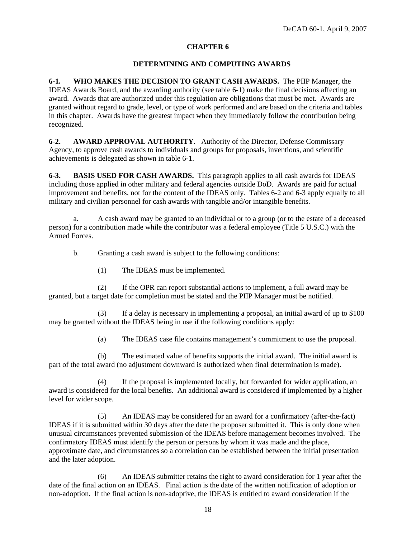#### **DETERMINING AND COMPUTING AWARDS**

**6-1. WHO MAKES THE DECISION TO GRANT CASH AWARDS.** The PIIP Manager, the IDEAS Awards Board, and the awarding authority (see table 6-1) make the final decisions affecting an award. Awards that are authorized under this regulation are obligations that must be met. Awards are granted without regard to grade, level, or type of work performed and are based on the criteria and tables in this chapter. Awards have the greatest impact when they immediately follow the contribution being recognized.

**6-2. AWARD APPROVAL AUTHORITY.** Authority of the Director, Defense Commissary Agency, to approve cash awards to individuals and groups for proposals, inventions, and scientific achievements is delegated as shown in table 6-1.

**6-3. BASIS USED FOR CASH AWARDS.** This paragraph applies to all cash awards for IDEAS including those applied in other military and federal agencies outside DoD. Awards are paid for actual improvement and benefits, not for the content of the IDEAS only. Tables 6-2 and 6-3 apply equally to all military and civilian personnel for cash awards with tangible and/or intangible benefits.

a. A cash award may be granted to an individual or to a group (or to the estate of a deceased person) for a contribution made while the contributor was a federal employee (Title 5 U.S.C.) with the Armed Forces.

b. Granting a cash award is subject to the following conditions:

(1) The IDEAS must be implemented.

 (2) If the OPR can report substantial actions to implement, a full award may be granted, but a target date for completion must be stated and the PIIP Manager must be notified.

If a delay is necessary in implementing a proposal, an initial award of up to  $$100$ may be granted without the IDEAS being in use if the following conditions apply:

(a) The IDEAS case file contains management's commitment to use the proposal.

 (b) The estimated value of benefits supports the initial award. The initial award is part of the total award (no adjustment downward is authorized when final determination is made).

(4) If the proposal is implemented locally, but forwarded for wider application, an award is considered for the local benefits. An additional award is considered if implemented by a higher level for wider scope.

 (5) An IDEAS may be considered for an award for a confirmatory (after-the-fact) IDEAS if it is submitted within 30 days after the date the proposer submitted it. This is only done when unusual circumstances prevented submission of the IDEAS before management becomes involved. The confirmatory IDEAS must identify the person or persons by whom it was made and the place, approximate date, and circumstances so a correlation can be established between the initial presentation and the later adoption.

 (6) An IDEAS submitter retains the right to award consideration for 1 year after the date of the final action on an IDEAS. Final action is the date of the written notification of adoption or non-adoption. If the final action is non-adoptive, the IDEAS is entitled to award consideration if the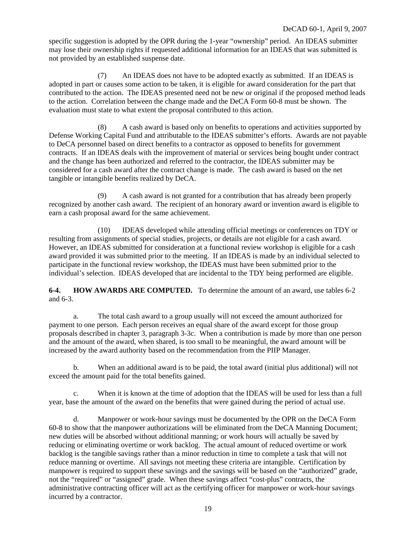specific suggestion is adopted by the OPR during the 1-year "ownership" period. An IDEAS submitter may lose their ownership rights if requested additional information for an IDEAS that was submitted is not provided by an established suspense date.

 (7) An IDEAS does not have to be adopted exactly as submitted. If an IDEAS is adopted in part or causes some action to be taken, it is eligible for award consideration for the part that contributed to the action. The IDEAS presented need not be new or original if the proposed method leads to the action. Correlation between the change made and the DeCA Form 60-8 must be shown. The evaluation must state to what extent the proposal contributed to this action.

 (8) A cash award is based only on benefits to operations and activities supported by Defense Working Capital Fund and attributable to the IDEAS submitter's efforts. Awards are not payable to DeCA personnel based on direct benefits to a contractor as opposed to benefits for government contracts. If an IDEAS deals with the improvement of material or services being bought under contract and the change has been authorized and referred to the contractor, the IDEAS submitter may be considered for a cash award after the contract change is made. The cash award is based on the net tangible or intangible benefits realized by DeCA.

 (9) A cash award is not granted for a contribution that has already been properly recognized by another cash award. The recipient of an honorary award or invention award is eligible to earn a cash proposal award for the same achievement.

 (10) IDEAS developed while attending official meetings or conferences on TDY or resulting from assignments of special studies, projects, or details are not eligible for a cash award. However, an IDEAS submitted for consideration at a functional review workshop is eligible for a cash award provided it was submitted prior to the meeting. If an IDEAS is made by an individual selected to participate in the functional review workshop, the IDEAS must have been submitted prior to the individual's selection. IDEAS developed that are incidental to the TDY being performed are eligible.

**6-4. HOW AWARDS ARE COMPUTED.** To determine the amount of an award, use tables 6-2 and 6-3.

 a. The total cash award to a group usually will not exceed the amount authorized for payment to one person. Each person receives an equal share of the award except for those group proposals described in chapter 3, paragraph 3-3c. When a contribution is made by more than one person and the amount of the award, when shared, is too small to be meaningful, the award amount will be increased by the award authority based on the recommendation from the PIIP Manager.

 b. When an additional award is to be paid, the total award (initial plus additional) will not exceed the amount paid for the total benefits gained.

 c. When it is known at the time of adoption that the IDEAS will be used for less than a full year, base the amount of the award on the benefits that were gained during the period of actual use.

 d. Manpower or work-hour savings must be documented by the OPR on the DeCA Form 60-8 to show that the manpower authorizations will be eliminated from the DeCA Manning Document; new duties will be absorbed without additional manning; or work hours will actually be saved by reducing or eliminating overtime or work backlog. The actual amount of reduced overtime or work backlog is the tangible savings rather than a minor reduction in time to complete a task that will not reduce manning or overtime. All savings not meeting these criteria are intangible. Certification by manpower is required to support these savings and the savings will be based on the "authorized" grade, not the "required" or "assigned" grade. When these savings affect "cost-plus" contracts, the administrative contracting officer will act as the certifying officer for manpower or work-hour savings incurred by a contractor.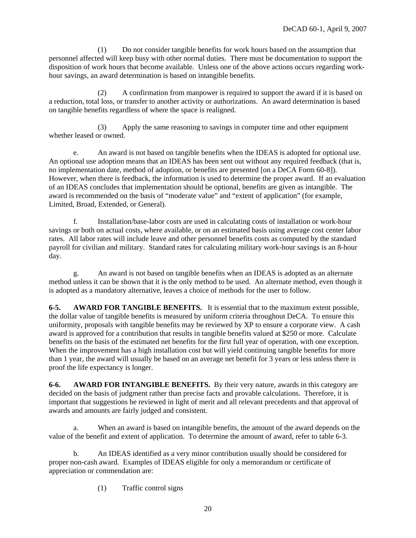(1) Do not consider tangible benefits for work hours based on the assumption that personnel affected will keep busy with other normal duties. There must be documentation to support the disposition of work hours that become available. Unless one of the above actions occurs regarding workhour savings, an award determination is based on intangible benefits.

 (2) A confirmation from manpower is required to support the award if it is based on a reduction, total loss, or transfer to another activity or authorizations. An award determination is based on tangible benefits regardless of where the space is realigned.

 (3) Apply the same reasoning to savings in computer time and other equipment whether leased or owned.

e. An award is not based on tangible benefits when the IDEAS is adopted for optional use. An optional use adoption means that an IDEAS has been sent out without any required feedback (that is, no implementation date, method of adoption, or benefits are presented [on a DeCA Form 60-8]). However, when there is feedback, the information is used to determine the proper award. If an evaluation of an IDEAS concludes that implementation should be optional, benefits are given as intangible. The award is recommended on the basis of "moderate value" and "extent of application" (for example, Limited, Broad, Extended, or General).

f. Installation/base-labor costs are used in calculating costs of installation or work-hour savings or both on actual costs, where available, or on an estimated basis using average cost center labor rates. All labor rates will include leave and other personnel benefits costs as computed by the standard payroll for civilian and military. Standard rates for calculating military work-hour savings is an 8-hour day.

 g. An award is not based on tangible benefits when an IDEAS is adopted as an alternate method unless it can be shown that it is the only method to be used. An alternate method, even though it is adopted as a mandatory alternative, leaves a choice of methods for the user to follow.

**6-5. AWARD FOR TANGIBLE BENEFITS.** It is essential that to the maximum extent possible, the dollar value of tangible benefits is measured by uniform criteria throughout DeCA. To ensure this uniformity, proposals with tangible benefits may be reviewed by XP to ensure a corporate view. A cash award is approved for a contribution that results in tangible benefits valued at \$250 or more. Calculate benefits on the basis of the estimated net benefits for the first full year of operation, with one exception. When the improvement has a high installation cost but will yield continuing tangible benefits for more than 1 year, the award will usually be based on an average net benefit for 3 years or less unless there is proof the life expectancy is longer.

**6-6. AWARD FOR INTANGIBLE BENEFITS.** By their very nature, awards in this category are decided on the basis of judgment rather than precise facts and provable calculations. Therefore, it is important that suggestions be reviewed in light of merit and all relevant precedents and that approval of awards and amounts are fairly judged and consistent.

 a. When an award is based on intangible benefits, the amount of the award depends on the value of the benefit and extent of application. To determine the amount of award, refer to table 6-3.

b. An IDEAS identified as a very minor contribution usually should be considered for proper non-cash award. Examples of IDEAS eligible for only a memorandum or certificate of appreciation or commendation are:

(1) Traffic control signs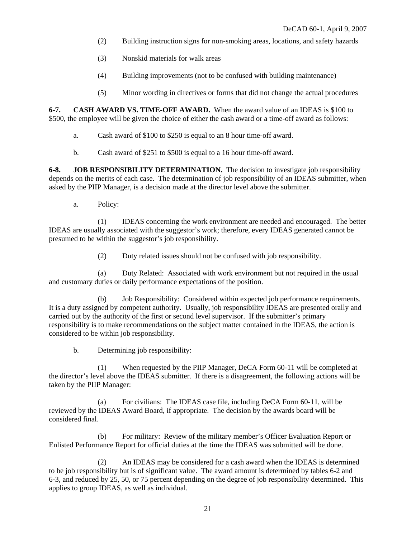- (2) Building instruction signs for non-smoking areas, locations, and safety hazards
- (3) Nonskid materials for walk areas
- (4) Building improvements (not to be confused with building maintenance)
- (5) Minor wording in directives or forms that did not change the actual procedures

**6-7. CASH AWARD VS. TIME-OFF AWARD.** When the award value of an IDEAS is \$100 to \$500, the employee will be given the choice of either the cash award or a time-off award as follows:

- a. Cash award of \$100 to \$250 is equal to an 8 hour time-off award.
- b. Cash award of \$251 to \$500 is equal to a 16 hour time-off award.

**6-8. JOB RESPONSIBILITY DETERMINATION.** The decision to investigate job responsibility depends on the merits of each case. The determination of job responsibility of an IDEAS submitter, when asked by the PIIP Manager, is a decision made at the director level above the submitter.

a. Policy:

 (1) IDEAS concerning the work environment are needed and encouraged. The better IDEAS are usually associated with the suggestor's work; therefore, every IDEAS generated cannot be presumed to be within the suggestor's job responsibility.

(2) Duty related issues should not be confused with job responsibility.

 (a) Duty Related: Associated with work environment but not required in the usual and customary duties or daily performance expectations of the position.

 (b) Job Responsibility: Considered within expected job performance requirements. It is a duty assigned by competent authority. Usually, job responsibility IDEAS are presented orally and carried out by the authority of the first or second level supervisor. If the submitter's primary responsibility is to make recommendations on the subject matter contained in the IDEAS, the action is considered to be within job responsibility.

b. Determining job responsibility:

(1) When requested by the PIIP Manager, DeCA Form 60-11 will be completed at the director's level above the IDEAS submitter. If there is a disagreement, the following actions will be taken by the PIIP Manager:

 (a) For civilians: The IDEAS case file, including DeCA Form 60-11, will be reviewed by the IDEAS Award Board, if appropriate. The decision by the awards board will be considered final.

 (b) For military: Review of the military member's Officer Evaluation Report or Enlisted Performance Report for official duties at the time the IDEAS was submitted will be done.

 (2) An IDEAS may be considered for a cash award when the IDEAS is determined to be job responsibility but is of significant value. The award amount is determined by tables 6-2 and 6-3, and reduced by 25, 50, or 75 percent depending on the degree of job responsibility determined. This applies to group IDEAS, as well as individual.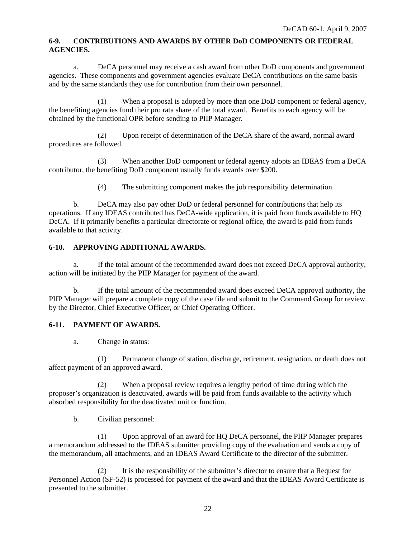#### **6-9. CONTRIBUTIONS AND AWARDS BY OTHER DoD COMPONENTS OR FEDERAL AGENCIES.**

 a. DeCA personnel may receive a cash award from other DoD components and government agencies. These components and government agencies evaluate DeCA contributions on the same basis and by the same standards they use for contribution from their own personnel.

 (1) When a proposal is adopted by more than one DoD component or federal agency, the benefiting agencies fund their pro rata share of the total award. Benefits to each agency will be obtained by the functional OPR before sending to PIIP Manager.

 (2) Upon receipt of determination of the DeCA share of the award, normal award procedures are followed.

 (3) When another DoD component or federal agency adopts an IDEAS from a DeCA contributor, the benefiting DoD component usually funds awards over \$200.

(4) The submitting component makes the job responsibility determination.

 b. DeCA may also pay other DoD or federal personnel for contributions that help its operations. If any IDEAS contributed has DeCA-wide application, it is paid from funds available to HQ DeCA. If it primarily benefits a particular directorate or regional office, the award is paid from funds available to that activity.

# **6-10. APPROVING ADDITIONAL AWARDS.**

a. If the total amount of the recommended award does not exceed DeCA approval authority, action will be initiated by the PIIP Manager for payment of the award.

 b. If the total amount of the recommended award does exceed DeCA approval authority, the PIIP Manager will prepare a complete copy of the case file and submit to the Command Group for review by the Director, Chief Executive Officer, or Chief Operating Officer.

### **6-11. PAYMENT OF AWARDS.**

a. Change in status:

 (1) Permanent change of station, discharge, retirement, resignation, or death does not affect payment of an approved award.

 (2) When a proposal review requires a lengthy period of time during which the proposer's organization is deactivated, awards will be paid from funds available to the activity which absorbed responsibility for the deactivated unit or function.

b. Civilian personnel:

 (1) Upon approval of an award for HQ DeCA personnel, the PIIP Manager prepares a memorandum addressed to the IDEAS submitter providing copy of the evaluation and sends a copy of the memorandum, all attachments, and an IDEAS Award Certificate to the director of the submitter.

 (2) It is the responsibility of the submitter's director to ensure that a Request for Personnel Action (SF-52) is processed for payment of the award and that the IDEAS Award Certificate is presented to the submitter.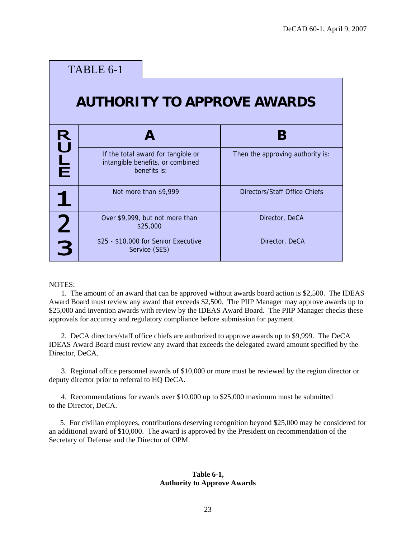|                                    | TABLE 6-1 |                                                                                        |                                  |  |
|------------------------------------|-----------|----------------------------------------------------------------------------------------|----------------------------------|--|
| <b>AUTHORITY TO APPROVE AWARDS</b> |           |                                                                                        |                                  |  |
|                                    |           |                                                                                        | B                                |  |
| <b>RULE</b>                        |           | If the total award for tangible or<br>intangible benefits, or combined<br>benefits is: | Then the approving authority is: |  |
|                                    |           | Not more than \$9,999                                                                  | Directors/Staff Office Chiefs    |  |
| $\overline{2}$                     |           | Over \$9,999, but not more than<br>\$25,000                                            | Director, DeCA                   |  |
| R                                  |           | \$25 - \$10,000 for Senior Executive<br>Service (SES)                                  | Director, DeCA                   |  |

NOTES:

1. The amount of an award that can be approved without awards board action is \$2,500. The IDEAS Award Board must review any award that exceeds \$2,500. The PIIP Manager may approve awards up to \$25,000 and invention awards with review by the IDEAS Award Board. The PIIP Manager checks these approvals for accuracy and regulatory compliance before submission for payment.

2. DeCA directors/staff office chiefs are authorized to approve awards up to \$9,999. The DeCA IDEAS Award Board must review any award that exceeds the delegated award amount specified by the Director, DeCA.

3. Regional office personnel awards of \$10,000 or more must be reviewed by the region director or deputy director prior to referral to HQ DeCA.

4. Recommendations for awards over \$10,000 up to \$25,000 maximum must be submitted to the Director, DeCA.

 5. For civilian employees, contributions deserving recognition beyond \$25,000 may be considered for an additional award of \$10,000. The award is approved by the President on recommendation of the Secretary of Defense and the Director of OPM.

#### **Table 6-1, Authority to Approve Awards**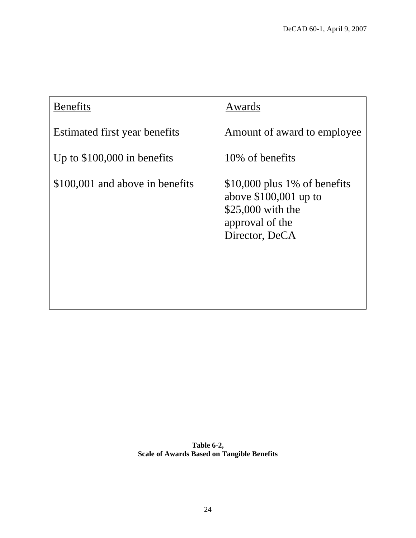| <b>Benefits</b>                 | Awards                                                                                                             |
|---------------------------------|--------------------------------------------------------------------------------------------------------------------|
| Estimated first year benefits   | Amount of award to employee                                                                                        |
| Up to $$100,000$ in benefits    | 10\% of benefits                                                                                                   |
| \$100,001 and above in benefits | $$10,000$ plus 1% of benefits<br>above $$100,001$ up to<br>$$25,000$ with the<br>approval of the<br>Director, DeCA |

**Table 6-2, Scale of Awards Based on Tangible Benefits**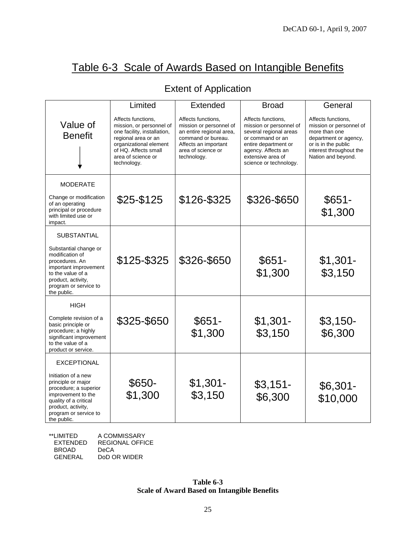# Table 6-3 Scale of Awards Based on Intangible Benefits

|  | <b>Extent of Application</b> |
|--|------------------------------|
|--|------------------------------|

|                                                                                                                                                                                 | Limited                                                                                                                                                                                     | Extended                                                                                                                                                     | <b>Broad</b>                                                                                                                                                                             | General                                                                                                                                                         |
|---------------------------------------------------------------------------------------------------------------------------------------------------------------------------------|---------------------------------------------------------------------------------------------------------------------------------------------------------------------------------------------|--------------------------------------------------------------------------------------------------------------------------------------------------------------|------------------------------------------------------------------------------------------------------------------------------------------------------------------------------------------|-----------------------------------------------------------------------------------------------------------------------------------------------------------------|
| Value of<br><b>Benefit</b>                                                                                                                                                      | Affects functions,<br>mission, or personnel of<br>one facility, installation,<br>regional area or an<br>organizational element<br>of HQ. Affects small<br>area of science or<br>technology. | Affects functions,<br>mission or personnel of<br>an entire regional area,<br>command or bureau.<br>Affects an important<br>area of science or<br>technology. | Affects functions,<br>mission or personnel of<br>several regional areas<br>or command or an<br>entire department or<br>agency. Affects an<br>extensive area of<br>science or technology. | Affects functions,<br>mission or personnel of<br>more than one<br>department or agency,<br>or is in the public<br>interest throughout the<br>Nation and beyond. |
| <b>MODERATE</b>                                                                                                                                                                 |                                                                                                                                                                                             |                                                                                                                                                              |                                                                                                                                                                                          |                                                                                                                                                                 |
| Change or modification<br>of an operating<br>principal or procedure<br>with limited use or<br>impact.                                                                           | \$25-\$125                                                                                                                                                                                  | \$126-\$325                                                                                                                                                  | \$326-\$650                                                                                                                                                                              | $$651-$<br>\$1,300                                                                                                                                              |
| <b>SUBSTANTIAL</b>                                                                                                                                                              |                                                                                                                                                                                             |                                                                                                                                                              |                                                                                                                                                                                          |                                                                                                                                                                 |
| Substantial change or<br>modification of<br>procedures. An<br>important improvement<br>to the value of a<br>product, activity,<br>program or service to<br>the public.          | \$125-\$325                                                                                                                                                                                 | \$326-\$650                                                                                                                                                  | $$651-$<br>\$1,300                                                                                                                                                                       | $$1,301-$<br>\$3,150                                                                                                                                            |
| <b>HIGH</b>                                                                                                                                                                     |                                                                                                                                                                                             |                                                                                                                                                              |                                                                                                                                                                                          |                                                                                                                                                                 |
| Complete revision of a<br>basic principle or<br>procedure; a highly<br>significant improvement<br>to the value of a<br>product or service.                                      | \$325-\$650                                                                                                                                                                                 | $$651-$<br>\$1,300                                                                                                                                           | $$1,301-$<br>\$3,150                                                                                                                                                                     | $$3,150-$<br>\$6,300                                                                                                                                            |
| <b>EXCEPTIONAL</b>                                                                                                                                                              |                                                                                                                                                                                             |                                                                                                                                                              |                                                                                                                                                                                          |                                                                                                                                                                 |
| Initiation of a new<br>principle or major<br>procedure; a superior<br>improvement to the<br>quality of a critical<br>product, activity,<br>program or service to<br>the public. | \$650-<br>\$1,300                                                                                                                                                                           | $$1,301-$<br>\$3,150                                                                                                                                         | $$3,151-$<br>\$6,300                                                                                                                                                                     | $$6,301-$<br>\$10,000                                                                                                                                           |

\*\*LIMITED A COMMISSARY REGIONAL OFFICE BROAD DeCA<br>GENERAL DoDC DoD OR WIDER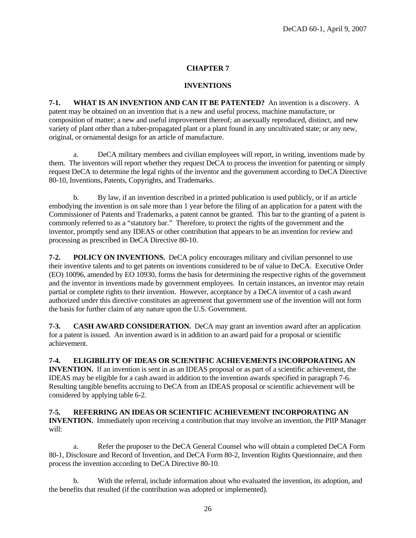#### **INVENTIONS**

7-1. **WHAT IS AN INVENTION AND CAN IT BE PATENTED?** An invention is a discovery. A variety of plant other than a tuber-propagated plant or a plant found in any uncultivated state; or any new, original, or ornamental design for an article of manufacture. patent may be obtained on an invention that is a new and useful process, machine manufacture, or composition of matter; a new and useful improvement thereof; an asexually reproduced, distinct, and new

request DeCA to determine the legal rights of the inventor and the government according to DeCA Directive 80-10, Inventions, Patents, Copyrights, and Trademarks. a. DeCA military members and civilian employees will report, in writing, inventions made by them. The inventors will report whether they request DeCA to process the invention for patenting or simply

Commissioner of Patents and Trademarks, a patent cannot be granted. This bar to the granting of a patent is inventor, promptly send any IDEAS or other contribution that appears to be an invention for review and processing as prescribed in DeCA Directive 80-10. b. By law, if an invention described in a printed publication is used publicly, or if an article embodying the invention is on sale more than 1 year before the filing of an application for a patent with the commonly referred to as a "statutory bar." Therefore, to protect the rights of the government and the

and the inventor in inventions made by government employees. In certain instances, an inventor may retain authorized under this directive constitutes an agreement that government use of the invention will not form the basis for further claim of any nature upon the U.S. Government. **7-2. POLICY ON INVENTIONS.** DeCA policy encourages military and civilian personnel to use their inventive talents and to get patents on inventions considered to be of value to DeCA. Executive Order (EO) 10096, amended by EO 10930, forms the basis for determining the respective rights of the government partial or complete rights to their invention. However, acceptance by a DeCA inventor of a cash award

**7-3.** CASH AWARD CONSIDERATION. DeCA may grant an invention award after an application for a patent is issued. An invention award is in addition to an award paid for a proposal or scientific achievement.

#### **7-4. ELIGIBILITY OF IDEAS OR SCIENTIFIC ACHIEVEMENTS INCORPORATING AN**

Resulting tangible benefits accruing to DeCA from an IDEAS proposal or scientific achievement will be considered by applying table 6-2. **INVENTION.** If an invention is sent in as an IDEAS proposal or as part of a scientific achievement, the IDEAS may be eligible for a cash award in addition to the invention awards specified in paragraph 7-6.

# **7-5. REFERRING AN IDEAS OR SCIENTIFIC ACHIEVEMENT INCORPORATING AN**

**NTION.** Immediately upon receiving a contribution that may involve an invention, the PIIP Manager **INVE** will:

80-1, Disclosure and Record of Invention, and DeCA Form 80-2, Invention Rights Questionnaire, and then process the invention according to DeCA Directive 80-10. a. Refer the proposer to the DeCA General Counsel who will obtain a completed DeCA Form

b. With the referral, include information about who evaluated the invention, its adoption, and the benefits that resulted (if the contribution was adopted or implemented).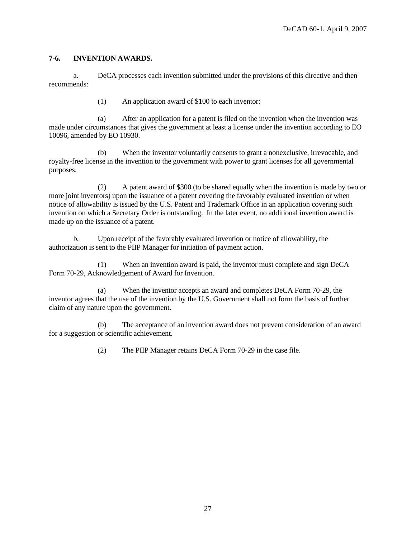#### **-6. INVENTION AWARDS. 7**

DeCA processes each invention submitted under the provisions of this directive and then recommends: a.

(1) An application award of \$100 to each inventor:

made under circumstances that gives the government at least a license under the invention according to EO 0096, amended by EO 10930. 1 (a) After an application for a patent is filed on the invention when the invention was

royalty-free license in the invention to the government with power to grant licenses for all governmental purposes. (b) When the inventor voluntarily consents to grant a nonexclusive, irrevocable, and

(2) A patent award of \$300 (to be shared equally when the invention is made by two or invention on which a Secretary Order is outstanding. In the later event, no additional invention award is made up on the issuance of a patent. more joint inventors) upon the issuance of a patent covering the favorably evaluated invention or when notice of allowability is issued by the U.S. Patent and Trademark Office in an application covering such

b. Upon receipt of the favorably evaluated invention or notice of allowability, the uthorization is sent to the PIIP Manager for initiation of payment action. a

(1) When an invention award is paid, the inventor must complete and sign DeCA Form 70-29, Acknowledgement of Award for Invention.

inventor agrees that the use of the invention by the U.S. Government shall not form the basis of further claim of any nature upon the government. (a) When the inventor accepts an award and completes DeCA Form 70-29, the

(b) The acceptance of an invention award does not prevent consideration of an award for a suggestion or scientific achievement.

(2) The PIIP Manager retains DeCA Form 70-29 in the case file.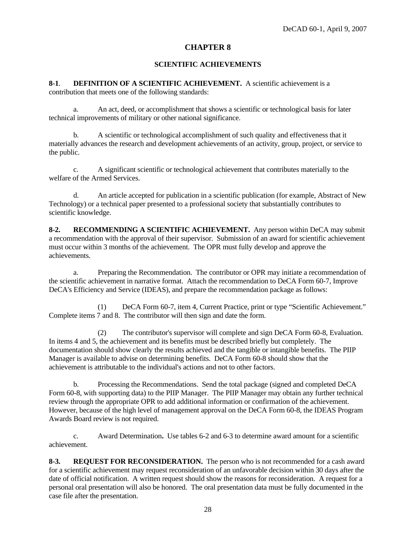### **SCIENTIFIC ACHIEVEMENTS**

**8-1**. **DEFINITION OF A SCIENTIFIC ACHIEVEMENT.** A scientific achievement is a contribution that meets one of the following standards:

 a. An act, deed, or accomplishment that shows a scientific or technological basis for later technical improvements of military or other national significance.

 b. A scientific or technological accomplishment of such quality and effectiveness that it materially advances the research and development achievements of an activity, group, project, or service to the public.

 c. A significant scientific or technological achievement that contributes materially to the welfare of the Armed Services.

 d. An article accepted for publication in a scientific publication (for example, Abstract of New Technology) or a technical paper presented to a professional society that substantially contributes to scientific knowledge.

**8-2. RECOMMENDING A SCIENTIFIC ACHIEVEMENT.** Any person within DeCA may submit a recommendation with the approval of their supervisor. Submission of an award for scientific achievement must occur within 3 months of the achievement. The OPR must fully develop and approve the achievements.

 a. Preparing the Recommendation. The contributor or OPR may initiate a recommendation of the scientific achievement in narrative format. Attach the recommendation to DeCA Form 60-7, Improve DeCA's Efficiency and Service (IDEAS), and prepare the recommendation package as follows:

 (1) DeCA Form 60-7, item 4, Current Practice, print or type "Scientific Achievement." Complete items 7 and 8. The contributor will then sign and date the form.

 (2) The contributor's supervisor will complete and sign DeCA Form 60-8, Evaluation. In items 4 and 5, the achievement and its benefits must be described briefly but completely. The documentation should show clearly the results achieved and the tangible or intangible benefits. The PIIP Manager is available to advise on determining benefits. DeCA Form 60-8 should show that the achievement is attributable to the individual's actions and not to other factors.

 b. Processing the Recommendations. Send the total package (signed and completed DeCA Form 60-8, with supporting data) to the PIIP Manager. The PIIP Manager may obtain any further technical review through the appropriate OPR to add additional information or confirmation of the achievement. However, because of the high level of management approval on the DeCA Form 60-8, the IDEAS Program Awards Board review is not required.

 c. Award Determination**.** Use tables 6-2 and 6-3 to determine award amount for a scientific achievement.

**8-3. REQUEST FOR RECONSIDERATION.** The person who is not recommended for a cash award for a scientific achievement may request reconsideration of an unfavorable decision within 30 days after the date of official notification. A written request should show the reasons for reconsideration. A request for a personal oral presentation will also be honored. The oral presentation data must be fully documented in the case file after the presentation.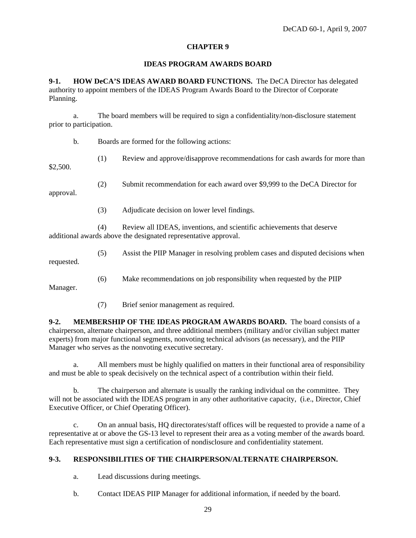#### **IDEAS PROGRAM AWARDS BOARD**

**9-1. HOW DeCA'S IDEAS AWARD BOARD FUNCTIONS.** The DeCA Director has delegated authority to appoint members of the IDEAS Program Awards Board to the Director of Corporate Planning.

a. The board members will be required to sign a confidentiality/non-disclosure statement prior to participation.

b. Boards are formed for the following actions:

(1) Review and approve/disapprove recommendations for cash awards for more than

\$2,500.

(2) Submit recommendation for each award over \$9,999 to the DeCA Director for

approval.

(3) Adjudicate decision on lower level findings.

 (4) Review all IDEAS, inventions, and scientific achievements that deserve additional awards above the designated representative approval.

 (5) Assist the PIIP Manager in resolving problem cases and disputed decisions when requested.

(6) Make recommendations on job responsibility when requested by the PIIP

Manager.

(7) Brief senior management as required.

**9-2. MEMBERSHIP OF THE IDEAS PROGRAM AWARDS BOARD.** The board consists of a chairperson, alternate chairperson, and three additional members (military and/or civilian subject matter experts) from major functional segments, nonvoting technical advisors (as necessary), and the PIIP Manager who serves as the nonvoting executive secretary.

 a. All members must be highly qualified on matters in their functional area of responsibility and must be able to speak decisively on the technical aspect of a contribution within their field.

 b. The chairperson and alternate is usually the ranking individual on the committee. They will not be associated with the IDEAS program in any other authoritative capacity, (i.e., Director, Chief Executive Officer, or Chief Operating Officer).

 c. On an annual basis, HQ directorates/staff offices will be requested to provide a name of a representative at or above the GS-13 level to represent their area as a voting member of the awards board. Each representative must sign a certification of nondisclosure and confidentiality statement.

### **9-3. RESPONSIBILITIES OF THE CHAIRPERSON/ALTERNATE CHAIRPERSON.**

a. Lead discussions during meetings.

b. Contact IDEAS PIIP Manager for additional information, if needed by the board.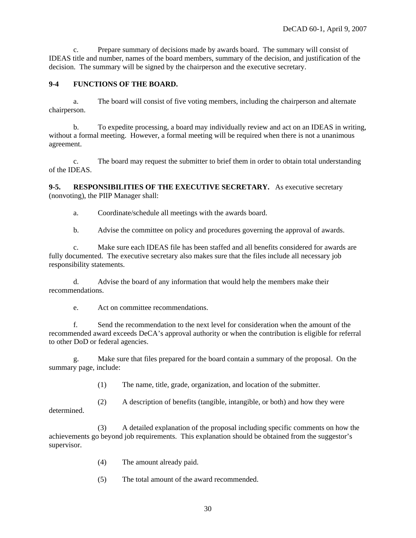c. Prepare summary of decisions made by awards board. The summary will consist of IDEAS title and number, names of the board members, summary of the decision, and justification of the decision. The summary will be signed by the chairperson and the executive secretary.

### **9-4 FUNCTIONS OF THE BOARD.**

a. The board will consist of five voting members, including the chairperson and alternate chairperson.

 b. To expedite processing, a board may individually review and act on an IDEAS in writing, without a formal meeting. However, a formal meeting will be required when there is not a unanimous agreement.

 c. The board may request the submitter to brief them in order to obtain total understanding of the IDEAS.

**9-5. RESPONSIBILITIES OF THE EXECUTIVE SECRETARY.** As executive secretary (nonvoting), the PIIP Manager shall:

a. Coordinate/schedule all meetings with the awards board.

b. Advise the committee on policy and procedures governing the approval of awards.

 c. Make sure each IDEAS file has been staffed and all benefits considered for awards are fully documented. The executive secretary also makes sure that the files include all necessary job responsibility statements.

 d. Advise the board of any information that would help the members make their recommendations.

e. Act on committee recommendations.

f. Send the recommendation to the next level for consideration when the amount of the recommended award exceeds DeCA's approval authority or when the contribution is eligible for referral to other DoD or federal agencies.

 g. Make sure that files prepared for the board contain a summary of the proposal. On the summary page, include:

(1) The name, title, grade, organization, and location of the submitter.

 (2) A description of benefits (tangible, intangible, or both) and how they were determined.

 (3) A detailed explanation of the proposal including specific comments on how the achievements go beyond job requirements. This explanation should be obtained from the suggestor's supervisor.

- (4) The amount already paid.
- (5) The total amount of the award recommended.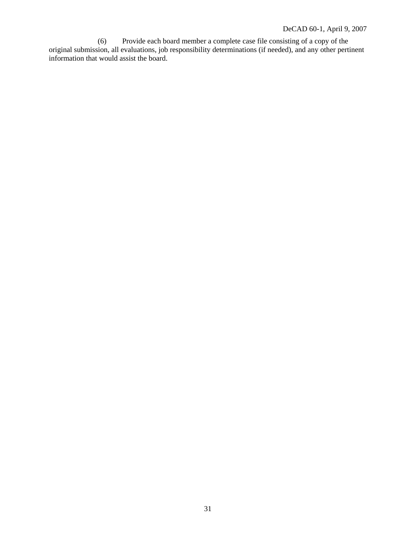(6) Provide each board member a complete case file consisting of a copy of the original submission, all evaluations, job responsibility determinations (if needed), and any other pertinent information that would assist the board.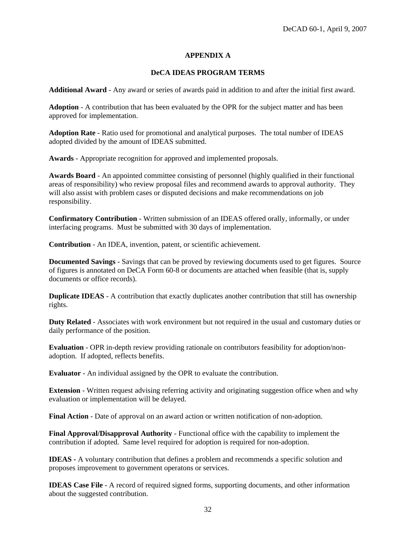#### **APPENDIX A**

#### **DeCA IDEAS PROGRAM TERMS**

**Additional Award** - Any award or series of awards paid in addition to and after the initial first award.

**Adoption** - A contribution that has been evaluated by the OPR for the subject matter and has been approved for implementation.

**Adoption Rate** - Ratio used for promotional and analytical purposes. The total number of IDEAS adopted divided by the amount of IDEAS submitted.

**Awards** - Appropriate recognition for approved and implemented proposals.

**Awards Board** - An appointed committee consisting of personnel (highly qualified in their functional areas of responsibility) who review proposal files and recommend awards to approval authority. They will also assist with problem cases or disputed decisions and make recommendations on job responsibility.

**Confirmatory Contribution** - Written submission of an IDEAS offered orally, informally, or under interfacing programs. Must be submitted with 30 days of implementation.

**Contribution** - An IDEA, invention, patent, or scientific achievement.

**Documented Savings** - Savings that can be proved by reviewing documents used to get figures. Source of figures is annotated on DeCA Form 60-8 or documents are attached when feasible (that is, supply documents or office records).

**Duplicate IDEAS** - A contribution that exactly duplicates another contribution that still has ownership rights.

**Duty Related** - Associates with work environment but not required in the usual and customary duties or daily performance of the position.

**Evaluation** - OPR in-depth review providing rationale on contributors feasibility for adoption/nonadoption. If adopted, reflects benefits.

**Evaluator** - An individual assigned by the OPR to evaluate the contribution.

**Extension** - Written request advising referring activity and originating suggestion office when and why evaluation or implementation will be delayed.

**Final Action** - Date of approval on an award action or written notification of non-adoption.

**Final Approval/Disapproval Authority** - Functional office with the capability to implement the contribution if adopted. Same level required for adoption is required for non-adoption.

**IDEAS -** A voluntary contribution that defines a problem and recommends a specific solution and proposes improvement to government operatons or services.

**IDEAS Case File** - A record of required signed forms, supporting documents, and other information about the suggested contribution.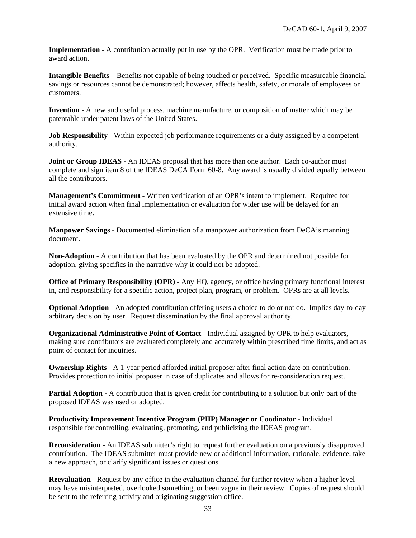**Implementation** - A contribution actually put in use by the OPR. Verification must be made prior to award action.

**Intangible Benefits –** Benefits not capable of being touched or perceived. Specific measureable financial savings or resources cannot be demonstrated; however, affects health, safety, or morale of employees or customers.

**Invention** - A new and useful process, machine manufacture, or composition of matter which may be patentable under patent laws of the United States.

**Job Responsibility** - Within expected job performance requirements or a duty assigned by a competent authority.

**Joint or Group IDEAS** - An IDEAS proposal that has more than one author. Each co-author must complete and sign item 8 of the IDEAS DeCA Form 60-8. Any award is usually divided equally between all the contributors.

**Management's Commitment** - Written verification of an OPR's intent to implement. Required for initial award action when final implementation or evaluation for wider use will be delayed for an extensive time.

**Manpower Savings** - Documented elimination of a manpower authorization from DeCA's manning document.

**Non-Adoption** - A contribution that has been evaluated by the OPR and determined not possible for adoption, giving specifics in the narrative why it could not be adopted.

**Office of Primary Responsibility (OPR)** - Any HQ, agency, or office having primary functional interest in, and responsibility for a specific action, project plan, program, or problem. OPRs are at all levels.

**Optional Adoption** - An adopted contribution offering users a choice to do or not do. Implies day-to-day arbitrary decision by user. Request dissemination by the final approval authority.

**Organizational Administrative Point of Contact** - Individual assigned by OPR to help evaluators, making sure contributors are evaluated completely and accurately within prescribed time limits, and act as point of contact for inquiries.

**Ownership Rights** - A 1-year period afforded initial proposer after final action date on contribution. Provides protection to initial proposer in case of duplicates and allows for re-consideration request.

**Partial Adoption** - A contribution that is given credit for contributing to a solution but only part of the proposed IDEAS was used or adopted.

**Productivity Improvement Incentive Program (PIIP) Manager or Coodinator** - Individual responsible for controlling, evaluating, promoting, and publicizing the IDEAS program.

**Reconsideration** - An IDEAS submitter's right to request further evaluation on a previously disapproved contribution. The IDEAS submitter must provide new or additional information, rationale, evidence, take a new approach, or clarify significant issues or questions.

**Reevaluation** - Request by any office in the evaluation channel for further review when a higher level may have misinterpreted, overlooked something, or been vague in their review. Copies of request should be sent to the referring activity and originating suggestion office.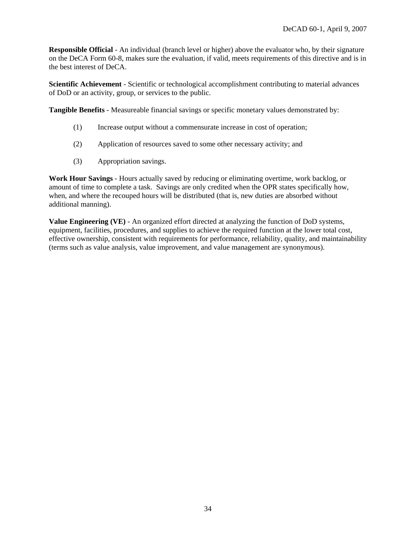**Responsible Official** - An individual (branch level or higher) above the evaluator who, by their signature on the DeCA Form 60-8, makes sure the evaluation, if valid, meets requirements of this directive and is in the best interest of DeCA.

**Scientific Achievement** - Scientific or technological accomplishment contributing to material advances of DoD or an activity, group, or services to the public.

**Tangible Benefits** - Measureable financial savings or specific monetary values demonstrated by:

- (1) Increase output without a commensurate increase in cost of operation;
- (2) Application of resources saved to some other necessary activity; and
- (3) Appropriation savings.

**Work Hour Savings** - Hours actually saved by reducing or eliminating overtime, work backlog, or amount of time to complete a task. Savings are only credited when the OPR states specifically how, when, and where the recouped hours will be distributed (that is, new duties are absorbed without additional manning).

**Value Engineering (VE)** - An organized effort directed at analyzing the function of DoD systems, equipment, facilities, procedures, and supplies to achieve the required function at the lower total cost, effective ownership, consistent with requirements for performance, reliability, quality, and maintainability (terms such as value analysis, value improvement, and value management are synonymous).